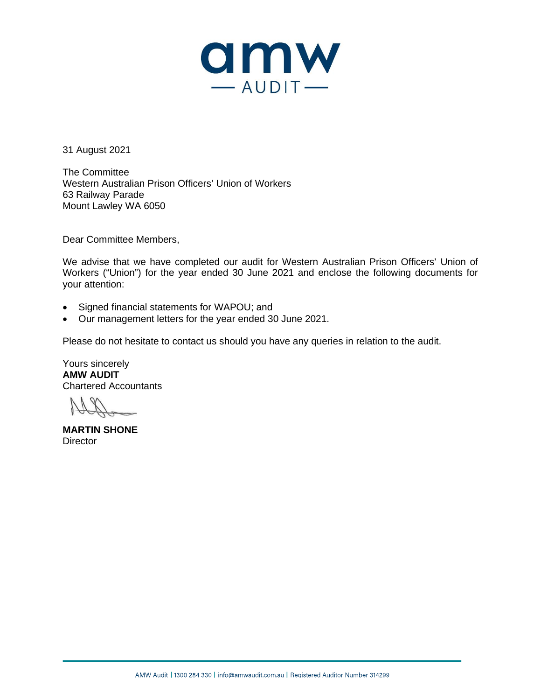

31 August 2021

The Committee Western Australian Prison Officers' Union of Workers 63 Railway Parade Mount Lawley WA 6050

Dear Committee Members,

We advise that we have completed our audit for Western Australian Prison Officers' Union of Workers ("Union") for the year ended 30 June 2021 and enclose the following documents for your attention:

- Signed financial statements for WAPOU; and
- Our management letters for the year ended 30 June 2021.

Please do not hesitate to contact us should you have any queries in relation to the audit.

Yours sincerely **AMW AUDIT** Chartered Accountants

**MARTIN SHONE Director**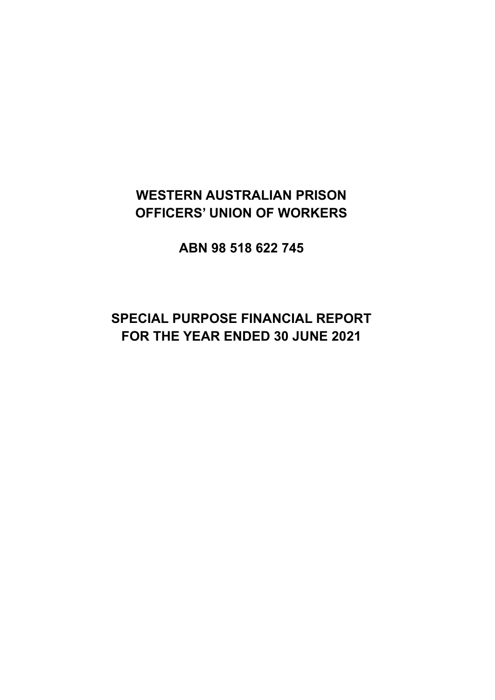## **WESTERN AUSTRALIAN PRISON OFFICERS' UNION OF WORKERS**

**ABN 98 518 622 745**

## **SPECIAL PURPOSE FINANCIAL REPORT FOR THE YEAR ENDED 30 JUNE 2021**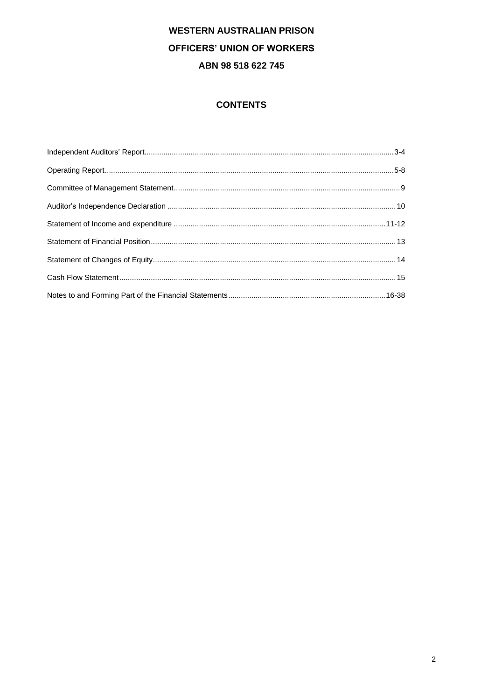## **CONTENTS**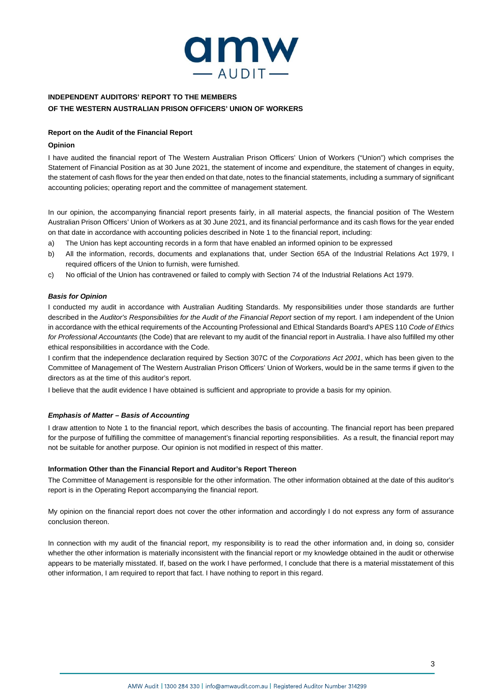

## **INDEPENDENT AUDITORS' REPORT TO THE MEMBERS OF THE WESTERN AUSTRALIAN PRISON OFFICERS' UNION OF WORKERS**

### **Report on the Audit of the Financial Report**

### **Opinion**

I have audited the financial report of The Western Australian Prison Officers' Union of Workers ("Union") which comprises the Statement of Financial Position as at 30 June 2021, the statement of income and expenditure, the statement of changes in equity, the statement of cash flows for the year then ended on that date, notes to the financial statements, including a summary of significant accounting policies; operating report and the committee of management statement.

In our opinion, the accompanying financial report presents fairly, in all material aspects, the financial position of The Western Australian Prison Officers' Union of Workers as at 30 June 2021, and its financial performance and its cash flows for the year ended on that date in accordance with accounting policies described in Note 1 to the financial report, including:

- a) The Union has kept accounting records in a form that have enabled an informed opinion to be expressed
- b) All the information, records, documents and explanations that, under Section 65A of the Industrial Relations Act 1979, I required officers of the Union to furnish, were furnished.
- c) No official of the Union has contravened or failed to comply with Section 74 of the Industrial Relations Act 1979.

### *Basis for Opinion*

I conducted my audit in accordance with Australian Auditing Standards. My responsibilities under those standards are further described in the *Auditor's Responsibilities for the Audit of the Financial Report* section of my report. I am independent of the Union in accordance with the ethical requirements of the Accounting Professional and Ethical Standards Board's APES 110 *Code of Ethics for Professional Accountants* (the Code) that are relevant to my audit of the financial report in Australia. I have also fulfilled my other ethical responsibilities in accordance with the Code.

I confirm that the independence declaration required by Section 307C of the *Corporations Act 2001*, which has been given to the Committee of Management of The Western Australian Prison Officers' Union of Workers, would be in the same terms if given to the directors as at the time of this auditor's report.

I believe that the audit evidence I have obtained is sufficient and appropriate to provide a basis for my opinion.

### *Emphasis of Matter – Basis of Accounting*

I draw attention to Note 1 to the financial report, which describes the basis of accounting. The financial report has been prepared for the purpose of fulfilling the committee of management's financial reporting responsibilities. As a result, the financial report may not be suitable for another purpose. Our opinion is not modified in respect of this matter.

### **Information Other than the Financial Report and Auditor's Report Thereon**

The Committee of Management is responsible for the other information. The other information obtained at the date of this auditor's report is in the Operating Report accompanying the financial report.

My opinion on the financial report does not cover the other information and accordingly I do not express any form of assurance conclusion thereon.

In connection with my audit of the financial report, my responsibility is to read the other information and, in doing so, consider whether the other information is materially inconsistent with the financial report or my knowledge obtained in the audit or otherwise appears to be materially misstated. If, based on the work I have performed, I conclude that there is a material misstatement of this other information, I am required to report that fact. I have nothing to report in this regard.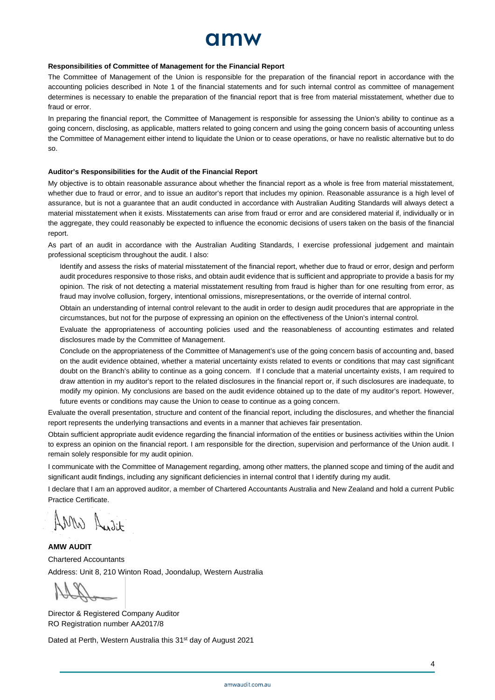# amw

#### **Responsibilities of Committee of Management for the Financial Report**

The Committee of Management of the Union is responsible for the preparation of the financial report in accordance with the accounting policies described in Note 1 of the financial statements and for such internal control as committee of management determines is necessary to enable the preparation of the financial report that is free from material misstatement, whether due to fraud or error.

In preparing the financial report, the Committee of Management is responsible for assessing the Union's ability to continue as a going concern, disclosing, as applicable, matters related to going concern and using the going concern basis of accounting unless the Committee of Management either intend to liquidate the Union or to cease operations, or have no realistic alternative but to do so.

#### **Auditor's Responsibilities for the Audit of the Financial Report**

My objective is to obtain reasonable assurance about whether the financial report as a whole is free from material misstatement, whether due to fraud or error, and to issue an auditor's report that includes my opinion. Reasonable assurance is a high level of assurance, but is not a guarantee that an audit conducted in accordance with Australian Auditing Standards will always detect a material misstatement when it exists. Misstatements can arise from fraud or error and are considered material if, individually or in the aggregate, they could reasonably be expected to influence the economic decisions of users taken on the basis of the financial report.

As part of an audit in accordance with the Australian Auditing Standards, I exercise professional judgement and maintain professional scepticism throughout the audit. I also:

Identify and assess the risks of material misstatement of the financial report, whether due to fraud or error, design and perform audit procedures responsive to those risks, and obtain audit evidence that is sufficient and appropriate to provide a basis for my opinion. The risk of not detecting a material misstatement resulting from fraud is higher than for one resulting from error, as fraud may involve collusion, forgery, intentional omissions, misrepresentations, or the override of internal control.

Obtain an understanding of internal control relevant to the audit in order to design audit procedures that are appropriate in the circumstances, but not for the purpose of expressing an opinion on the effectiveness of the Union's internal control.

Evaluate the appropriateness of accounting policies used and the reasonableness of accounting estimates and related disclosures made by the Committee of Management.

Conclude on the appropriateness of the Committee of Management's use of the going concern basis of accounting and, based on the audit evidence obtained, whether a material uncertainty exists related to events or conditions that may cast significant doubt on the Branch's ability to continue as a going concern. If I conclude that a material uncertainty exists, I am required to draw attention in my auditor's report to the related disclosures in the financial report or, if such disclosures are inadequate, to modify my opinion. My conclusions are based on the audit evidence obtained up to the date of my auditor's report. However, future events or conditions may cause the Union to cease to continue as a going concern.

Evaluate the overall presentation, structure and content of the financial report, including the disclosures, and whether the financial report represents the underlying transactions and events in a manner that achieves fair presentation.

Obtain sufficient appropriate audit evidence regarding the financial information of the entities or business activities within the Union to express an opinion on the financial report. I am responsible for the direction, supervision and performance of the Union audit. I remain solely responsible for my audit opinion.

I communicate with the Committee of Management regarding, among other matters, the planned scope and timing of the audit and significant audit findings, including any significant deficiencies in internal control that I identify during my audit.

I declare that I am an approved auditor, a member of Chartered Accountants Australia and New Zealand and hold a current Public Practice Certificate.

AMW Audit

**AMW AUDIT** Chartered Accountants Address: Unit 8, 210 Winton Road, Joondalup, Western Australia

 $\frac{1}{2}$ 

Director & Registered Company Auditor RO Registration number AA2017/8

Dated at Perth, Western Australia this 31<sup>st</sup> day of August 2021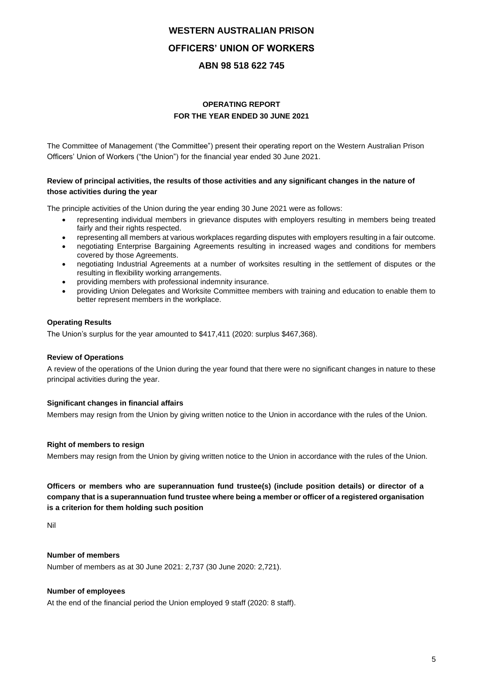## **OPERATING REPORT FOR THE YEAR ENDED 30 JUNE 2021**

The Committee of Management ('the Committee") present their operating report on the Western Australian Prison Officers' Union of Workers ("the Union") for the financial year ended 30 June 2021.

## **Review of principal activities, the results of those activities and any significant changes in the nature of those activities during the year**

The principle activities of the Union during the year ending 30 June 2021 were as follows:

- representing individual members in grievance disputes with employers resulting in members being treated fairly and their rights respected.
- representing all members at various workplaces regarding disputes with employers resulting in a fair outcome.
- negotiating Enterprise Bargaining Agreements resulting in increased wages and conditions for members covered by those Agreements.
- negotiating Industrial Agreements at a number of worksites resulting in the settlement of disputes or the resulting in flexibility working arrangements.
- providing members with professional indemnity insurance.
- providing Union Delegates and Worksite Committee members with training and education to enable them to better represent members in the workplace.

## **Operating Results**

The Union's surplus for the year amounted to \$417,411 (2020: surplus \$467,368).

## **Review of Operations**

A review of the operations of the Union during the year found that there were no significant changes in nature to these principal activities during the year.

## **Significant changes in financial affairs**

Members may resign from the Union by giving written notice to the Union in accordance with the rules of the Union.

## **Right of members to resign**

Members may resign from the Union by giving written notice to the Union in accordance with the rules of the Union.

## **Officers or members who are superannuation fund trustee(s) (include position details) or director of a company that is a superannuation fund trustee where being a member or officer of a registered organisation is a criterion for them holding such position**

Nil

## **Number of members**

Number of members as at 30 June 2021: 2,737 (30 June 2020: 2,721).

### **Number of employees**

At the end of the financial period the Union employed 9 staff (2020: 8 staff).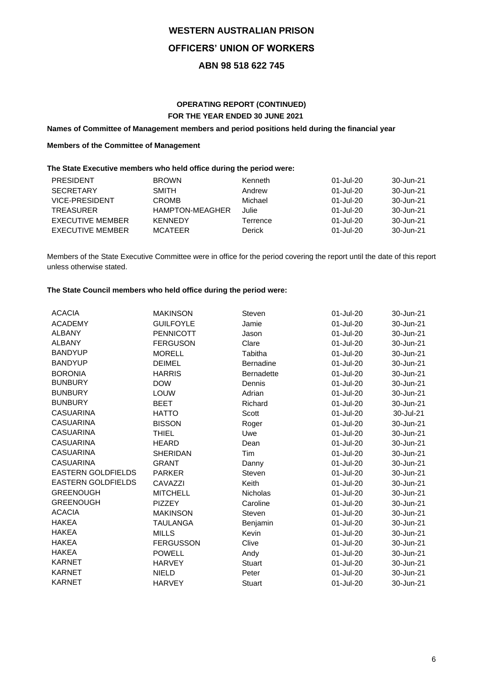## **OPERATING REPORT (CONTINUED) FOR THE YEAR ENDED 30 JUNE 2021**

## **Names of Committee of Management members and period positions held during the financial year**

## **Members of the Committee of Management**

## **The State Executive members who held office during the period were:**

| <b>PRESIDENT</b>        | <b>BROWN</b>           | Kenneth  | 01-Jul-20 | 30-Jun-21 |
|-------------------------|------------------------|----------|-----------|-----------|
| <b>SECRETARY</b>        | SMITH                  | Andrew   | 01-Jul-20 | 30-Jun-21 |
| VICE-PRESIDENT          | <b>CROMB</b>           | Michael  | 01-Jul-20 | 30-Jun-21 |
| <b>TREASURER</b>        | <b>HAMPTON-MEAGHER</b> | Julie    | 01-Jul-20 | 30-Jun-21 |
| EXECUTIVE MEMBER        | KENNEDY                | Terrence | 01-Jul-20 | 30-Jun-21 |
| <b>EXECUTIVE MEMBER</b> | <b>MCATFFR</b>         | Derick   | 01-Jul-20 | 30-Jun-21 |

Members of the State Executive Committee were in office for the period covering the report until the date of this report unless otherwise stated.

## **The State Council members who held office during the period were:**

| <b>ACACIA</b>             | <b>MAKINSON</b>  | Steven            | 01-Jul-20 | 30-Jun-21 |
|---------------------------|------------------|-------------------|-----------|-----------|
| <b>ACADEMY</b>            | <b>GUILFOYLE</b> | Jamie             | 01-Jul-20 | 30-Jun-21 |
| <b>ALBANY</b>             | <b>PENNICOTT</b> | Jason             | 01-Jul-20 | 30-Jun-21 |
| <b>ALBANY</b>             | <b>FERGUSON</b>  | Clare             | 01-Jul-20 | 30-Jun-21 |
| <b>BANDYUP</b>            | <b>MORELL</b>    | Tabitha           | 01-Jul-20 | 30-Jun-21 |
| <b>BANDYUP</b>            | <b>DEIMEL</b>    | <b>Bernadine</b>  | 01-Jul-20 | 30-Jun-21 |
| <b>BORONIA</b>            | <b>HARRIS</b>    | <b>Bernadette</b> | 01-Jul-20 | 30-Jun-21 |
| <b>BUNBURY</b>            | <b>DOW</b>       | Dennis            | 01-Jul-20 | 30-Jun-21 |
| <b>BUNBURY</b>            | <b>LOUW</b>      | Adrian            | 01-Jul-20 | 30-Jun-21 |
| <b>BUNBURY</b>            | <b>BEET</b>      | Richard           | 01-Jul-20 | 30-Jun-21 |
| <b>CASUARINA</b>          | <b>HATTO</b>     | Scott             | 01-Jul-20 | 30-Jul-21 |
| <b>CASUARINA</b>          | <b>BISSON</b>    | Roger             | 01-Jul-20 | 30-Jun-21 |
| <b>CASUARINA</b>          | <b>THIEL</b>     | Uwe               | 01-Jul-20 | 30-Jun-21 |
| <b>CASUARINA</b>          | <b>HEARD</b>     | Dean              | 01-Jul-20 | 30-Jun-21 |
| <b>CASUARINA</b>          | <b>SHERIDAN</b>  | <b>Tim</b>        | 01-Jul-20 | 30-Jun-21 |
| <b>CASUARINA</b>          | <b>GRANT</b>     | Danny             | 01-Jul-20 | 30-Jun-21 |
| <b>EASTERN GOLDFIELDS</b> | <b>PARKER</b>    | Steven            | 01-Jul-20 | 30-Jun-21 |
| <b>EASTERN GOLDFIELDS</b> | CAVAZZI          | Keith             | 01-Jul-20 | 30-Jun-21 |
| <b>GREENOUGH</b>          | <b>MITCHELL</b>  | Nicholas          | 01-Jul-20 | 30-Jun-21 |
| <b>GREENOUGH</b>          | <b>PIZZEY</b>    | Caroline          | 01-Jul-20 | 30-Jun-21 |
| <b>ACACIA</b>             | <b>MAKINSON</b>  | Steven            | 01-Jul-20 | 30-Jun-21 |
| <b>HAKEA</b>              | <b>TAULANGA</b>  | Benjamin          | 01-Jul-20 | 30-Jun-21 |
| <b>HAKEA</b>              | <b>MILLS</b>     | Kevin             | 01-Jul-20 | 30-Jun-21 |
| <b>HAKEA</b>              | <b>FERGUSSON</b> | Clive             | 01-Jul-20 | 30-Jun-21 |
| <b>HAKEA</b>              | <b>POWELL</b>    | Andy              | 01-Jul-20 | 30-Jun-21 |
| <b>KARNET</b>             | <b>HARVEY</b>    | <b>Stuart</b>     | 01-Jul-20 | 30-Jun-21 |
| <b>KARNET</b>             | <b>NIELD</b>     | Peter             | 01-Jul-20 | 30-Jun-21 |
| <b>KARNET</b>             | <b>HARVEY</b>    | Stuart            | 01-Jul-20 | 30-Jun-21 |
|                           |                  |                   |           |           |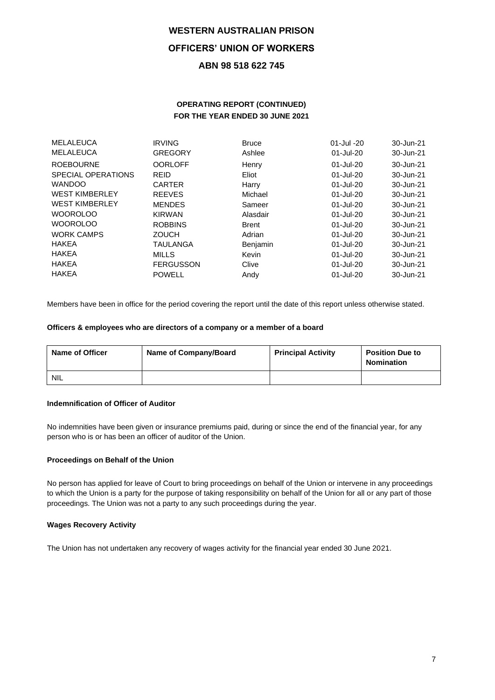## **OPERATING REPORT (CONTINUED) FOR THE YEAR ENDED 30 JUNE 2021**

| MELALEUCA             | <b>IRVING</b>    | <b>Bruce</b> | $01 -$ Jul $-20$ | 30-Jun-21 |
|-----------------------|------------------|--------------|------------------|-----------|
| MELALEUCA             | <b>GREGORY</b>   | Ashlee       | 01-Jul-20        | 30-Jun-21 |
| <b>ROEBOURNE</b>      | <b>OORLOFF</b>   | Henry        | 01-Jul-20        | 30-Jun-21 |
| SPECIAL OPERATIONS    | <b>REID</b>      | Eliot        | 01-Jul-20        | 30-Jun-21 |
| <b>WANDOO</b>         | <b>CARTER</b>    | Harry        | $01$ -Jul-20     | 30-Jun-21 |
| <b>WEST KIMBERLEY</b> | <b>REEVES</b>    | Michael      | $01$ -Jul-20     | 30-Jun-21 |
| <b>WEST KIMBERLEY</b> | <b>MENDES</b>    | Sameer       | 01-Jul-20        | 30-Jun-21 |
| <b>WOOROLOO</b>       | <b>KIRWAN</b>    | Alasdair     | $01$ -Jul-20     | 30-Jun-21 |
| <b>WOOROLOO</b>       | <b>ROBBINS</b>   | <b>Brent</b> | $01 -$ Jul $-20$ | 30-Jun-21 |
| <b>WORK CAMPS</b>     | <b>ZOUCH</b>     | Adrian       | 01-Jul-20        | 30-Jun-21 |
| <b>HAKEA</b>          | TAULANGA         | Benjamin     | $01 -$ Jul $-20$ | 30-Jun-21 |
| <b>HAKEA</b>          | <b>MILLS</b>     | Kevin        | $01$ -Jul-20     | 30-Jun-21 |
| <b>HAKEA</b>          | <b>FERGUSSON</b> | Clive        | 01-Jul-20        | 30-Jun-21 |
| <b>HAKEA</b>          | <b>POWELL</b>    | Andy         | $01$ -Jul-20     | 30-Jun-21 |
|                       |                  |              |                  |           |

Members have been in office for the period covering the report until the date of this report unless otherwise stated.

### **Officers & employees who are directors of a company or a member of a board**

| <b>Name of Officer</b> | Name of Company/Board | <b>Principal Activity</b> | <b>Position Due to</b><br><b>Nomination</b> |
|------------------------|-----------------------|---------------------------|---------------------------------------------|
| NIL                    |                       |                           |                                             |

## **Indemnification of Officer of Auditor**

No indemnities have been given or insurance premiums paid, during or since the end of the financial year, for any person who is or has been an officer of auditor of the Union.

### **Proceedings on Behalf of the Union**

No person has applied for leave of Court to bring proceedings on behalf of the Union or intervene in any proceedings to which the Union is a party for the purpose of taking responsibility on behalf of the Union for all or any part of those proceedings. The Union was not a party to any such proceedings during the year.

## **Wages Recovery Activity**

The Union has not undertaken any recovery of wages activity for the financial year ended 30 June 2021.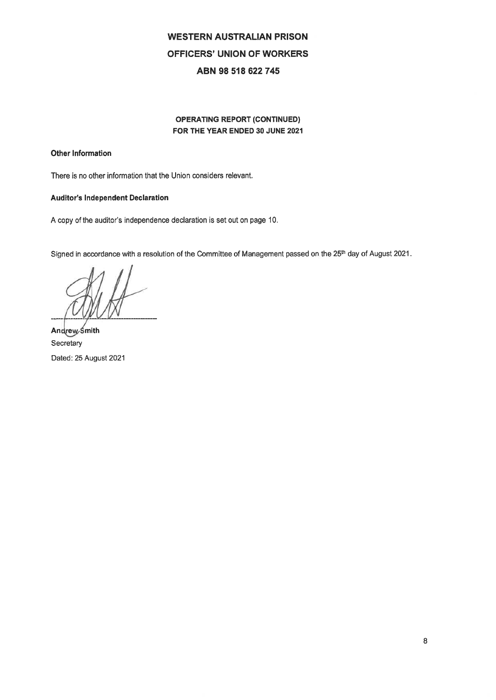## **OPERATING REPORT (CONTINUED)** FOR THE YEAR ENDED 30 JUNE 2021

## Other Information

There is no other information that the Union considers relevant.

## **Auditor's Independent Declaration**

A copy of the auditor's independence declaration is set out on page 10.

Signed in accordance with a resolution of the Committee of Management passed on the 25<sup>th</sup> day of August 2021.

Andrew Smith Secretary Dated: 25 August 2021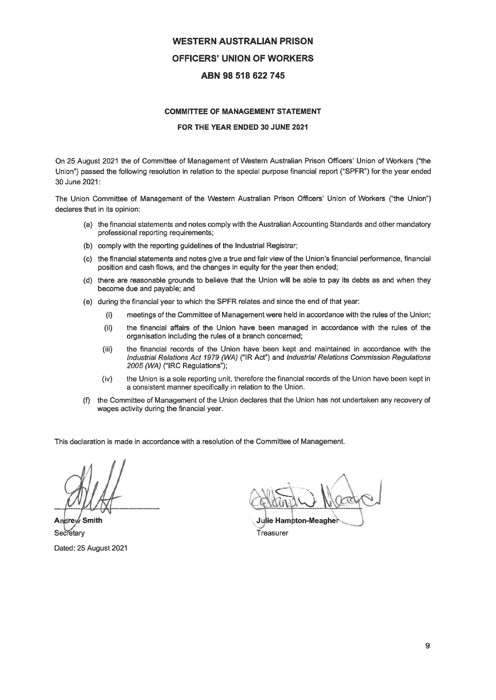### **COMMITTEE OF MANAGEMENT STATEMENT**

### FOR THE YEAR ENDED 30 JUNE 2021

On 25 August 2021 the of Committee of Management of Western Australian Prison Officers' Union of Workers ("the Union") passed the following resolution in relation to the special purpose financial report ("SPFR") for the year ended 30 June 2021:

The Union Committee of Management of the Western Australian Prison Officers' Union of Workers ("the Union") declares that in its opinion:

- (a) the financial statements and notes comply with the Australian Accounting Standards and other mandatory professional reporting requirements;
- (b) comply with the reporting guidelines of the Industrial Registrar;
- (c) the financial statements and notes give a true and fair view of the Union's financial performance, financial position and cash flows, and the changes in equity for the year then ended;
- there are reasonable grounds to believe that the Union will be able to pay its debts as and when they  $(d)$ become due and payable; and
- (e) during the financial year to which the SPFR relates and since the end of that year:
	- $(i)$ meetings of the Committee of Management were held in accordance with the rules of the Union;
	- $(ii)$ the financial affairs of the Union have been managed in accordance with the rules of the organisation including the rules of a branch concerned;
	- $(iii)$ the financial records of the Union have been kept and maintained in accordance with the Industrial Relations Act 1979 (WA) ("IR Act") and Industrial Relations Commission Regulations 2005 (WA) ("IRC Regulations");
	- the Union is a sole reporting unit, therefore the financial records of the Union have been kept in  $(iv)$ a consistent manner specifically in relation to the Union.
- the Committee of Management of the Union declares that the Union has not undertaken any recovery of  $(f)$ wages activity during the financial year.

This declaration is made in accordance with a resolution of the Committee of Management.

Andre  $\rlap/{\color{black}\sqrt{3}}$  Smith Secretary Dated: 25 August 2021

**Julie Hampton-Meaghe** 

Treasurer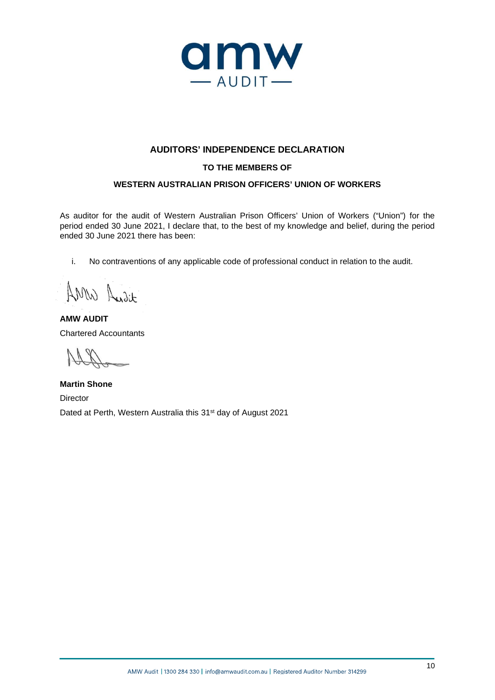

## **AUDITORS' INDEPENDENCE DECLARATION**

## **TO THE MEMBERS OF**

## **WESTERN AUSTRALIAN PRISON OFFICERS' UNION OF WORKERS**

As auditor for the audit of Western Australian Prison Officers' Union of Workers ("Union") for the period ended 30 June 2021, I declare that, to the best of my knowledge and belief, during the period ended 30 June 2021 there has been:

i. No contraventions of any applicable code of professional conduct in relation to the audit.

AMW Audit

**AMW AUDIT** Chartered Accountants

**Martin Shone** Director Dated at Perth, Western Australia this 31<sup>st</sup> day of August 2021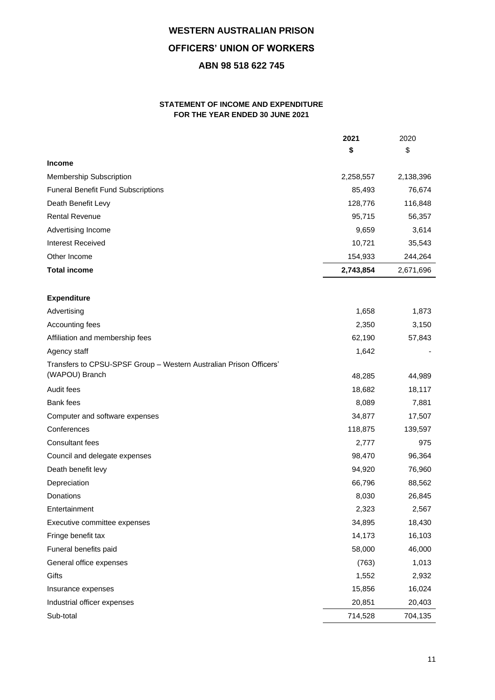## **STATEMENT OF INCOME AND EXPENDITURE FOR THE YEAR ENDED 30 JUNE 2021**

|                                                                                      | 2021      | 2020      |
|--------------------------------------------------------------------------------------|-----------|-----------|
|                                                                                      | \$        | \$        |
| <b>Income</b>                                                                        |           |           |
| Membership Subscription                                                              | 2,258,557 | 2,138,396 |
| <b>Funeral Benefit Fund Subscriptions</b>                                            | 85,493    | 76,674    |
| Death Benefit Levy                                                                   | 128,776   | 116,848   |
| <b>Rental Revenue</b>                                                                | 95,715    | 56,357    |
| Advertising Income                                                                   | 9,659     | 3,614     |
| <b>Interest Received</b>                                                             | 10,721    | 35,543    |
| Other Income                                                                         | 154,933   | 244,264   |
| <b>Total income</b>                                                                  | 2,743,854 | 2,671,696 |
| <b>Expenditure</b>                                                                   |           |           |
| Advertising                                                                          | 1,658     | 1,873     |
| Accounting fees                                                                      | 2,350     | 3,150     |
| Affiliation and membership fees                                                      | 62,190    | 57,843    |
| Agency staff                                                                         | 1,642     |           |
| Transfers to CPSU-SPSF Group - Western Australian Prison Officers'<br>(WAPOU) Branch |           |           |
|                                                                                      | 48,285    | 44,989    |
| Audit fees                                                                           | 18,682    | 18,117    |
| <b>Bank</b> fees                                                                     | 8,089     | 7,881     |
| Computer and software expenses                                                       | 34,877    | 17,507    |
| Conferences                                                                          | 118,875   | 139,597   |
| <b>Consultant fees</b>                                                               | 2,777     | 975       |
| Council and delegate expenses                                                        | 98,470    | 96,364    |
| Death benefit levy                                                                   | 94,920    | 76,960    |
| Depreciation                                                                         | 66,796    | 88,562    |
| Donations                                                                            | 8,030     | 26,845    |
| Entertainment                                                                        | 2,323     | 2,567     |
| Executive committee expenses                                                         | 34,895    | 18,430    |
| Fringe benefit tax                                                                   | 14,173    | 16,103    |
| Funeral benefits paid                                                                | 58,000    | 46,000    |
| General office expenses                                                              | (763)     | 1,013     |
| Gifts                                                                                | 1,552     | 2,932     |
| Insurance expenses                                                                   | 15,856    | 16,024    |
| Industrial officer expenses                                                          | 20,851    | 20,403    |
| Sub-total                                                                            | 714,528   | 704,135   |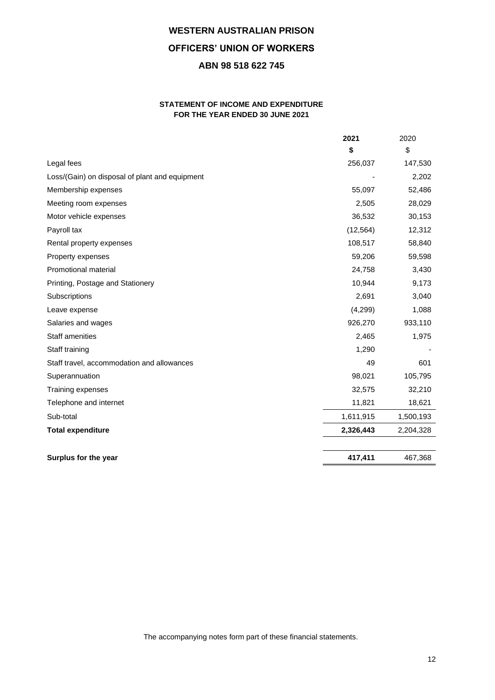## **STATEMENT OF INCOME AND EXPENDITURE FOR THE YEAR ENDED 30 JUNE 2021**

|                                                | 2021      | 2020      |
|------------------------------------------------|-----------|-----------|
|                                                | \$        | \$        |
| Legal fees                                     | 256,037   | 147,530   |
| Loss/(Gain) on disposal of plant and equipment |           | 2,202     |
| Membership expenses                            | 55,097    | 52,486    |
| Meeting room expenses                          | 2,505     | 28,029    |
| Motor vehicle expenses                         | 36,532    | 30,153    |
| Payroll tax                                    | (12, 564) | 12,312    |
| Rental property expenses                       | 108,517   | 58,840    |
| Property expenses                              | 59,206    | 59,598    |
| Promotional material                           | 24,758    | 3,430     |
| Printing, Postage and Stationery               | 10,944    | 9,173     |
| Subscriptions                                  | 2,691     | 3,040     |
| Leave expense                                  | (4,299)   | 1,088     |
| Salaries and wages                             | 926,270   | 933,110   |
| Staff amenities                                | 2,465     | 1,975     |
| Staff training                                 | 1,290     |           |
| Staff travel, accommodation and allowances     | 49        | 601       |
| Superannuation                                 | 98,021    | 105,795   |
| Training expenses                              | 32,575    | 32,210    |
| Telephone and internet                         | 11,821    | 18,621    |
| Sub-total                                      | 1,611,915 | 1,500,193 |
| <b>Total expenditure</b>                       | 2,326,443 | 2,204,328 |
|                                                |           |           |
| Surplus for the year                           | 417,411   | 467,368   |

The accompanying notes form part of these financial statements.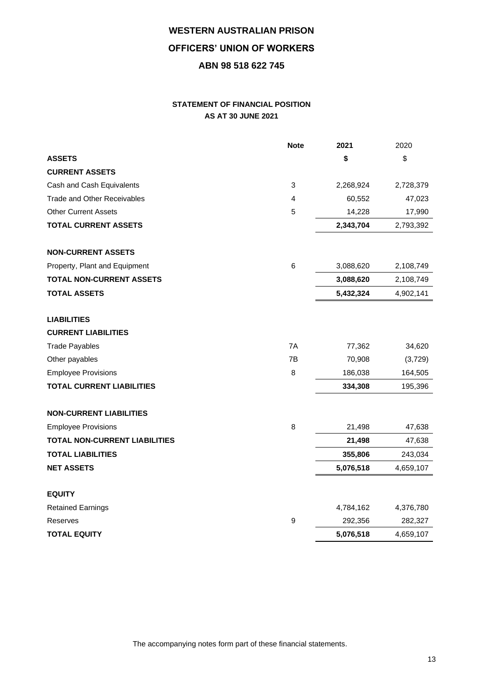## **STATEMENT OF FINANCIAL POSITION AS AT 30 JUNE 2021**

|                                      | <b>Note</b> | 2021      | 2020      |
|--------------------------------------|-------------|-----------|-----------|
| <b>ASSETS</b>                        |             | \$        | \$        |
| <b>CURRENT ASSETS</b>                |             |           |           |
| Cash and Cash Equivalents            | 3           | 2,268,924 | 2,728,379 |
| <b>Trade and Other Receivables</b>   | 4           | 60,552    | 47,023    |
| <b>Other Current Assets</b>          | 5           | 14,228    | 17,990    |
| <b>TOTAL CURRENT ASSETS</b>          |             | 2,343,704 | 2,793,392 |
| <b>NON-CURRENT ASSETS</b>            |             |           |           |
| Property, Plant and Equipment        | 6           | 3,088,620 | 2,108,749 |
| <b>TOTAL NON-CURRENT ASSETS</b>      |             | 3,088,620 | 2,108,749 |
| <b>TOTAL ASSETS</b>                  |             | 5,432,324 | 4,902,141 |
| <b>LIABILITIES</b>                   |             |           |           |
| <b>CURRENT LIABILITIES</b>           |             |           |           |
| <b>Trade Payables</b>                | 7A          | 77,362    | 34,620    |
| Other payables                       | 7B          | 70,908    | (3,729)   |
| <b>Employee Provisions</b>           | 8           | 186,038   | 164,505   |
| <b>TOTAL CURRENT LIABILITIES</b>     |             | 334,308   | 195,396   |
| <b>NON-CURRENT LIABILITIES</b>       |             |           |           |
| <b>Employee Provisions</b>           | 8           | 21,498    | 47,638    |
| <b>TOTAL NON-CURRENT LIABILITIES</b> |             | 21,498    | 47,638    |
| <b>TOTAL LIABILITIES</b>             |             | 355,806   | 243,034   |
| <b>NET ASSETS</b>                    |             | 5,076,518 | 4,659,107 |
| <b>EQUITY</b>                        |             |           |           |
| <b>Retained Earnings</b>             |             | 4,784,162 | 4,376,780 |
| Reserves                             | 9           | 292,356   | 282,327   |
| <b>TOTAL EQUITY</b>                  |             | 5,076,518 | 4,659,107 |

The accompanying notes form part of these financial statements.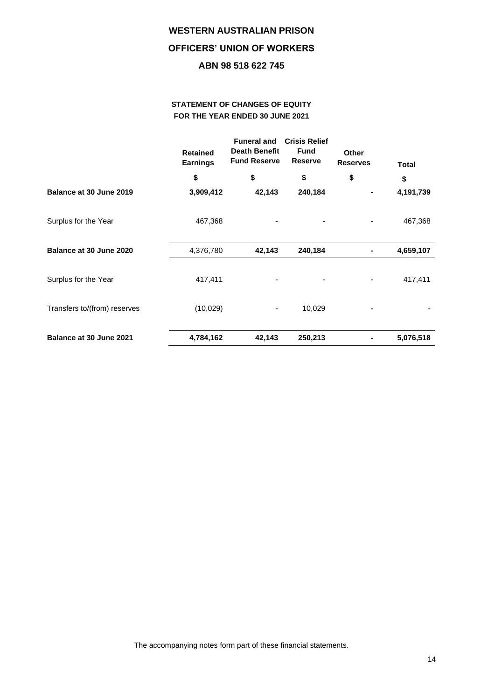## **STATEMENT OF CHANGES OF EQUITY FOR THE YEAR ENDED 30 JUNE 2021**

|                              | <b>Retained</b><br><b>Earnings</b> | <b>Funeral and</b><br><b>Death Benefit</b><br><b>Fund Reserve</b> | <b>Crisis Relief</b><br><b>Fund</b><br><b>Reserve</b> | Other<br><b>Reserves</b>     | <b>Total</b> |
|------------------------------|------------------------------------|-------------------------------------------------------------------|-------------------------------------------------------|------------------------------|--------------|
|                              | \$                                 | \$                                                                | \$                                                    | \$                           | \$           |
| Balance at 30 June 2019      | 3,909,412                          | 42,143                                                            | 240,184                                               | ۰                            | 4,191,739    |
| Surplus for the Year         | 467,368                            |                                                                   |                                                       |                              | 467,368      |
| Balance at 30 June 2020      | 4,376,780                          | 42,143                                                            | 240,184                                               | ۰                            | 4,659,107    |
| Surplus for the Year         | 417,411                            |                                                                   |                                                       |                              | 417,411      |
| Transfers to/(from) reserves | (10,029)                           | ۰                                                                 | 10,029                                                | $\qquad \qquad \blacksquare$ |              |
| Balance at 30 June 2021      | 4,784,162                          | 42,143                                                            | 250,213                                               | $\blacksquare$               | 5,076,518    |

The accompanying notes form part of these financial statements.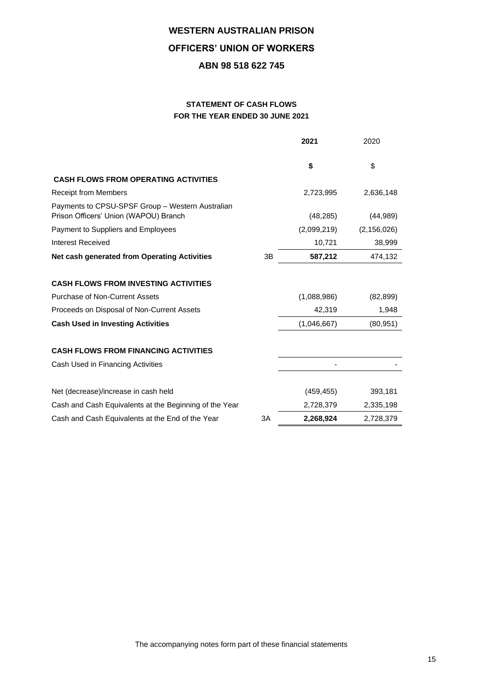## **STATEMENT OF CASH FLOWS FOR THE YEAR ENDED 30 JUNE 2021**

|                                                                                           |    | 2021        | 2020          |
|-------------------------------------------------------------------------------------------|----|-------------|---------------|
|                                                                                           |    | \$          | \$            |
| <b>CASH FLOWS FROM OPERATING ACTIVITIES</b>                                               |    |             |               |
| <b>Receipt from Members</b>                                                               |    | 2,723,995   | 2,636,148     |
| Payments to CPSU-SPSF Group - Western Australian<br>Prison Officers' Union (WAPOU) Branch |    | (48, 285)   | (44, 989)     |
| Payment to Suppliers and Employees                                                        |    | (2,099,219) | (2, 156, 026) |
| <b>Interest Received</b>                                                                  |    | 10,721      | 38,999        |
| Net cash generated from Operating Activities                                              | 3B | 587,212     | 474,132       |
| <b>CASH FLOWS FROM INVESTING ACTIVITIES</b><br>Purchase of Non-Current Assets             |    | (1,088,986) | (82, 899)     |
| Proceeds on Disposal of Non-Current Assets                                                |    | 42,319      | 1,948         |
| <b>Cash Used in Investing Activities</b>                                                  |    | (1,046,667) | (80, 951)     |
| <b>CASH FLOWS FROM FINANCING ACTIVITIES</b>                                               |    |             |               |
| Cash Used in Financing Activities                                                         |    |             |               |
| Net (decrease)/increase in cash held                                                      |    | (459, 455)  | 393,181       |
| Cash and Cash Equivalents at the Beginning of the Year                                    |    | 2,728,379   | 2,335,198     |
| Cash and Cash Equivalents at the End of the Year                                          | 3A | 2,268,924   | 2,728,379     |

The accompanying notes form part of these financial statements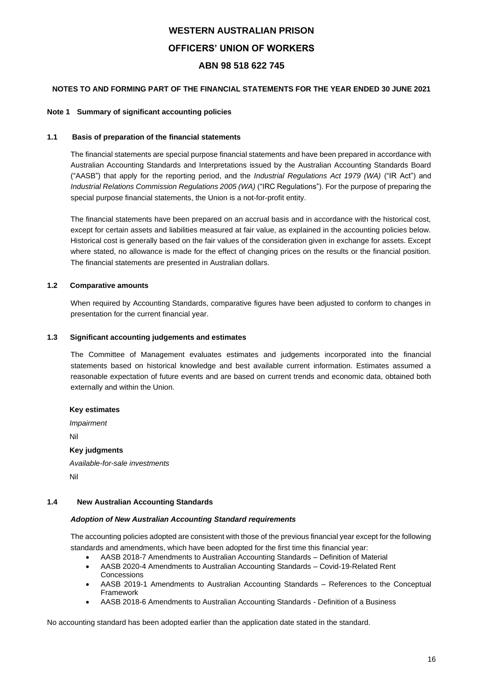## **NOTES TO AND FORMING PART OF THE FINANCIAL STATEMENTS FOR THE YEAR ENDED 30 JUNE 2021**

### **Note 1 Summary of significant accounting policies**

### **1.1 Basis of preparation of the financial statements**

The financial statements are special purpose financial statements and have been prepared in accordance with Australian Accounting Standards and Interpretations issued by the Australian Accounting Standards Board ("AASB") that apply for the reporting period, and the *Industrial Regulations Act 1979 (WA)* ("IR Act") and *Industrial Relations Commission Regulations 2005 (WA)* ("IRC Regulations"). For the purpose of preparing the special purpose financial statements, the Union is a not-for-profit entity.

The financial statements have been prepared on an accrual basis and in accordance with the historical cost, except for certain assets and liabilities measured at fair value, as explained in the accounting policies below. Historical cost is generally based on the fair values of the consideration given in exchange for assets. Except where stated, no allowance is made for the effect of changing prices on the results or the financial position. The financial statements are presented in Australian dollars.

## **1.2 Comparative amounts**

When required by Accounting Standards, comparative figures have been adjusted to conform to changes in presentation for the current financial year.

### **1.3 Significant accounting judgements and estimates**

The Committee of Management evaluates estimates and judgements incorporated into the financial statements based on historical knowledge and best available current information. Estimates assumed a reasonable expectation of future events and are based on current trends and economic data, obtained both externally and within the Union.

### **Key estimates**

*Impairment* Nil **Key judgments** *Available-for-sale investments*

Nil

### **1.4 New Australian Accounting Standards**

### *Adoption of New Australian Accounting Standard requirements*

The accounting policies adopted are consistent with those of the previous financial year except for the following standards and amendments, which have been adopted for the first time this financial year:

- AASB 2018-7 Amendments to Australian Accounting Standards Definition of Material
- AASB 2020-4 Amendments to Australian Accounting Standards Covid-19-Related Rent Concessions
- AASB 2019-1 Amendments to Australian Accounting Standards References to the Conceptual Framework
- AASB 2018-6 Amendments to Australian Accounting Standards Definition of a Business

No accounting standard has been adopted earlier than the application date stated in the standard.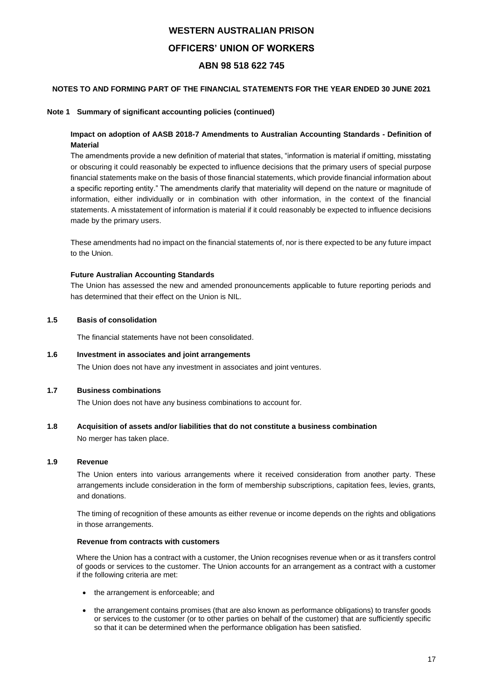## **NOTES TO AND FORMING PART OF THE FINANCIAL STATEMENTS FOR THE YEAR ENDED 30 JUNE 2021**

### **Note 1 Summary of significant accounting policies (continued)**

## **Impact on adoption of AASB 2018-7 Amendments to Australian Accounting Standards - Definition of Material**

The amendments provide a new definition of material that states, "information is material if omitting, misstating or obscuring it could reasonably be expected to influence decisions that the primary users of special purpose financial statements make on the basis of those financial statements, which provide financial information about a specific reporting entity." The amendments clarify that materiality will depend on the nature or magnitude of information, either individually or in combination with other information, in the context of the financial statements. A misstatement of information is material if it could reasonably be expected to influence decisions made by the primary users.

These amendments had no impact on the financial statements of, nor is there expected to be any future impact to the Union.

## **Future Australian Accounting Standards**

The Union has assessed the new and amended pronouncements applicable to future reporting periods and has determined that their effect on the Union is NIL.

### **1.5 Basis of consolidation**

The financial statements have not been consolidated.

### **1.6 Investment in associates and joint arrangements**

The Union does not have any investment in associates and joint ventures.

## **1.7 Business combinations**

The Union does not have any business combinations to account for.

## **1.8 Acquisition of assets and/or liabilities that do not constitute a business combination**

No merger has taken place.

## **1.9 Revenue**

The Union enters into various arrangements where it received consideration from another party. These arrangements include consideration in the form of membership subscriptions, capitation fees, levies, grants, and donations.

The timing of recognition of these amounts as either revenue or income depends on the rights and obligations in those arrangements.

## **Revenue from contracts with customers**

Where the Union has a contract with a customer, the Union recognises revenue when or as it transfers control of goods or services to the customer. The Union accounts for an arrangement as a contract with a customer if the following criteria are met:

- the arrangement is enforceable; and
- the arrangement contains promises (that are also known as performance obligations) to transfer goods or services to the customer (or to other parties on behalf of the customer) that are sufficiently specific so that it can be determined when the performance obligation has been satisfied.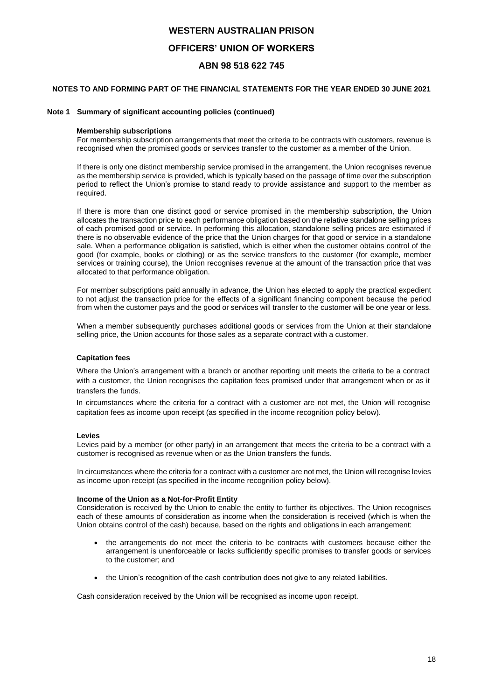## **NOTES TO AND FORMING PART OF THE FINANCIAL STATEMENTS FOR THE YEAR ENDED 30 JUNE 2021**

### **Note 1 Summary of significant accounting policies (continued)**

## **Membership subscriptions**

For membership subscription arrangements that meet the criteria to be contracts with customers, revenue is recognised when the promised goods or services transfer to the customer as a member of the Union.

If there is only one distinct membership service promised in the arrangement, the Union recognises revenue as the membership service is provided, which is typically based on the passage of time over the subscription period to reflect the Union's promise to stand ready to provide assistance and support to the member as required.

If there is more than one distinct good or service promised in the membership subscription, the Union allocates the transaction price to each performance obligation based on the relative standalone selling prices of each promised good or service. In performing this allocation, standalone selling prices are estimated if there is no observable evidence of the price that the Union charges for that good or service in a standalone sale. When a performance obligation is satisfied, which is either when the customer obtains control of the good (for example, books or clothing) or as the service transfers to the customer (for example, member services or training course), the Union recognises revenue at the amount of the transaction price that was allocated to that performance obligation.

For member subscriptions paid annually in advance, the Union has elected to apply the practical expedient to not adjust the transaction price for the effects of a significant financing component because the period from when the customer pays and the good or services will transfer to the customer will be one year or less.

When a member subsequently purchases additional goods or services from the Union at their standalone selling price, the Union accounts for those sales as a separate contract with a customer.

### **Capitation fees**

Where the Union's arrangement with a branch or another reporting unit meets the criteria to be a contract with a customer, the Union recognises the capitation fees promised under that arrangement when or as it transfers the funds.

In circumstances where the criteria for a contract with a customer are not met, the Union will recognise capitation fees as income upon receipt (as specified in the income recognition policy below).

### **Levies**

Levies paid by a member (or other party) in an arrangement that meets the criteria to be a contract with a customer is recognised as revenue when or as the Union transfers the funds.

In circumstances where the criteria for a contract with a customer are not met, the Union will recognise levies as income upon receipt (as specified in the income recognition policy below).

### **Income of the Union as a Not-for-Profit Entity**

Consideration is received by the Union to enable the entity to further its objectives. The Union recognises each of these amounts of consideration as income when the consideration is received (which is when the Union obtains control of the cash) because, based on the rights and obligations in each arrangement:

- the arrangements do not meet the criteria to be contracts with customers because either the arrangement is unenforceable or lacks sufficiently specific promises to transfer goods or services to the customer; and
- the Union's recognition of the cash contribution does not give to any related liabilities.

Cash consideration received by the Union will be recognised as income upon receipt.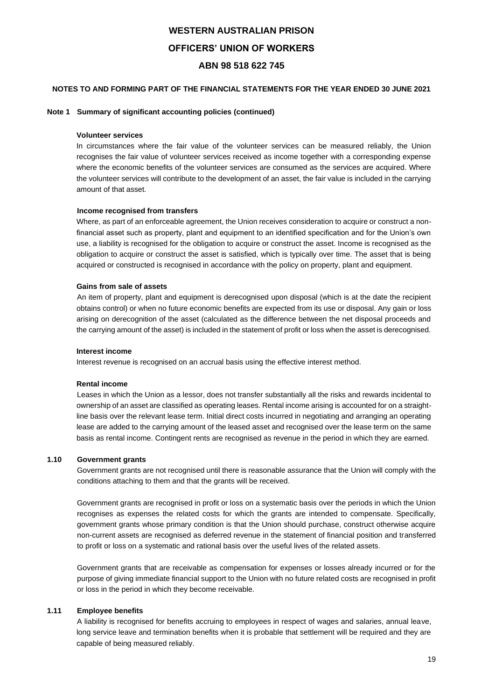## **NOTES TO AND FORMING PART OF THE FINANCIAL STATEMENTS FOR THE YEAR ENDED 30 JUNE 2021**

### **Note 1 Summary of significant accounting policies (continued)**

#### **Volunteer services**

In circumstances where the fair value of the volunteer services can be measured reliably, the Union recognises the fair value of volunteer services received as income together with a corresponding expense where the economic benefits of the volunteer services are consumed as the services are acquired. Where the volunteer services will contribute to the development of an asset, the fair value is included in the carrying amount of that asset.

### **Income recognised from transfers**

Where, as part of an enforceable agreement, the Union receives consideration to acquire or construct a nonfinancial asset such as property, plant and equipment to an identified specification and for the Union's own use, a liability is recognised for the obligation to acquire or construct the asset. Income is recognised as the obligation to acquire or construct the asset is satisfied, which is typically over time. The asset that is being acquired or constructed is recognised in accordance with the policy on property, plant and equipment.

#### **Gains from sale of assets**

An item of property, plant and equipment is derecognised upon disposal (which is at the date the recipient obtains control) or when no future economic benefits are expected from its use or disposal. Any gain or loss arising on derecognition of the asset (calculated as the difference between the net disposal proceeds and the carrying amount of the asset) is included in the statement of profit or loss when the asset is derecognised.

#### **Interest income**

Interest revenue is recognised on an accrual basis using the effective interest method.

#### **Rental income**

Leases in which the Union as a lessor, does not transfer substantially all the risks and rewards incidental to ownership of an asset are classified as operating leases. Rental income arising is accounted for on a straightline basis over the relevant lease term. Initial direct costs incurred in negotiating and arranging an operating lease are added to the carrying amount of the leased asset and recognised over the lease term on the same basis as rental income. Contingent rents are recognised as revenue in the period in which they are earned.

## **1.10 Government grants**

Government grants are not recognised until there is reasonable assurance that the Union will comply with the conditions attaching to them and that the grants will be received.

Government grants are recognised in profit or loss on a systematic basis over the periods in which the Union recognises as expenses the related costs for which the grants are intended to compensate. Specifically, government grants whose primary condition is that the Union should purchase, construct otherwise acquire non-current assets are recognised as deferred revenue in the statement of financial position and transferred to profit or loss on a systematic and rational basis over the useful lives of the related assets.

Government grants that are receivable as compensation for expenses or losses already incurred or for the purpose of giving immediate financial support to the Union with no future related costs are recognised in profit or loss in the period in which they become receivable.

## **1.11 Employee benefits**

A liability is recognised for benefits accruing to employees in respect of wages and salaries, annual leave, long service leave and termination benefits when it is probable that settlement will be required and they are capable of being measured reliably.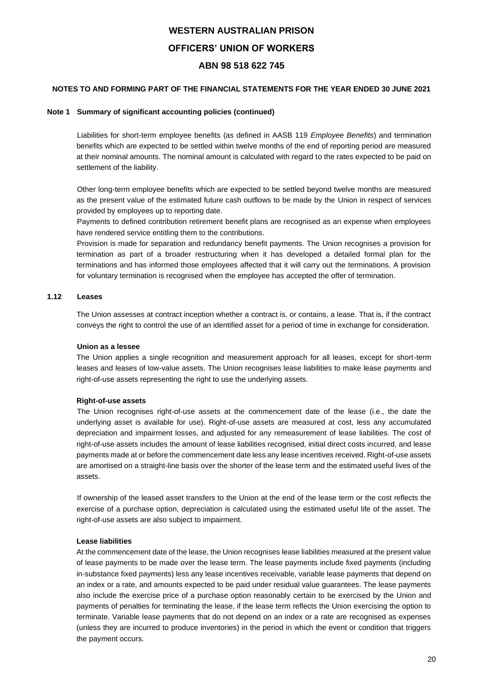## **NOTES TO AND FORMING PART OF THE FINANCIAL STATEMENTS FOR THE YEAR ENDED 30 JUNE 2021**

### **Note 1 Summary of significant accounting policies (continued)**

Liabilities for short-term employee benefits (as defined in AASB 119 *Employee Benefits*) and termination benefits which are expected to be settled within twelve months of the end of reporting period are measured at their nominal amounts. The nominal amount is calculated with regard to the rates expected to be paid on settlement of the liability.

Other long-term employee benefits which are expected to be settled beyond twelve months are measured as the present value of the estimated future cash outflows to be made by the Union in respect of services provided by employees up to reporting date.

Payments to defined contribution retirement benefit plans are recognised as an expense when employees have rendered service entitling them to the contributions.

Provision is made for separation and redundancy benefit payments. The Union recognises a provision for termination as part of a broader restructuring when it has developed a detailed formal plan for the terminations and has informed those employees affected that it will carry out the terminations. A provision for voluntary termination is recognised when the employee has accepted the offer of termination.

## **1.12 Leases**

The Union assesses at contract inception whether a contract is, or contains, a lease. That is, if the contract conveys the right to control the use of an identified asset for a period of time in exchange for consideration.

### **Union as a lessee**

The Union applies a single recognition and measurement approach for all leases, except for short-term leases and leases of low-value assets. The Union recognises lease liabilities to make lease payments and right-of-use assets representing the right to use the underlying assets.

### **Right-of-use assets**

The Union recognises right-of-use assets at the commencement date of the lease (i.e., the date the underlying asset is available for use). Right-of-use assets are measured at cost, less any accumulated depreciation and impairment losses, and adjusted for any remeasurement of lease liabilities. The cost of right-of-use assets includes the amount of lease liabilities recognised, initial direct costs incurred, and lease payments made at or before the commencement date less any lease incentives received. Right-of-use assets are amortised on a straight-line basis over the shorter of the lease term and the estimated useful lives of the assets.

If ownership of the leased asset transfers to the Union at the end of the lease term or the cost reflects the exercise of a purchase option, depreciation is calculated using the estimated useful life of the asset. The right-of-use assets are also subject to impairment.

## **Lease liabilities**

At the commencement date of the lease, the Union recognises lease liabilities measured at the present value of lease payments to be made over the lease term. The lease payments include fixed payments (including in-substance fixed payments) less any lease incentives receivable, variable lease payments that depend on an index or a rate, and amounts expected to be paid under residual value guarantees. The lease payments also include the exercise price of a purchase option reasonably certain to be exercised by the Union and payments of penalties for terminating the lease, if the lease term reflects the Union exercising the option to terminate. Variable lease payments that do not depend on an index or a rate are recognised as expenses (unless they are incurred to produce inventories) in the period in which the event or condition that triggers the payment occurs.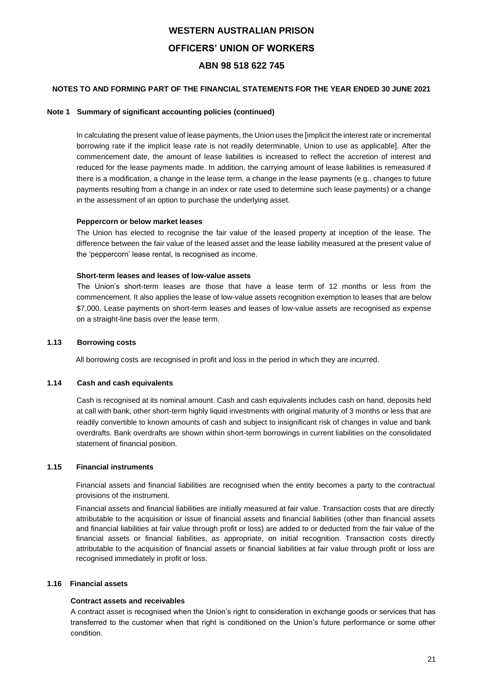## **NOTES TO AND FORMING PART OF THE FINANCIAL STATEMENTS FOR THE YEAR ENDED 30 JUNE 2021**

### **Note 1 Summary of significant accounting policies (continued)**

In calculating the present value of lease payments, the Union uses the [implicit the interest rate or incremental borrowing rate if the implicit lease rate is not readily determinable, Union to use as applicable]. After the commencement date, the amount of lease liabilities is increased to reflect the accretion of interest and reduced for the lease payments made. In addition, the carrying amount of lease liabilities is remeasured if there is a modification, a change in the lease term, a change in the lease payments (e.g., changes to future payments resulting from a change in an index or rate used to determine such lease payments) or a change in the assessment of an option to purchase the underlying asset.

### **Peppercorn or below market leases**

The Union has elected to recognise the fair value of the leased property at inception of the lease. The difference between the fair value of the leased asset and the lease liability measured at the present value of the 'peppercorn' lease rental, is recognised as income.

### **Short-term leases and leases of low-value assets**

The Union's short-term leases are those that have a lease term of 12 months or less from the commencement. It also applies the lease of low-value assets recognition exemption to leases that are below \$7,000. Lease payments on short-term leases and leases of low-value assets are recognised as expense on a straight-line basis over the lease term.

## **1.13 Borrowing costs**

All borrowing costs are recognised in profit and loss in the period in which they are incurred.

## **1.14 Cash and cash equivalents**

Cash is recognised at its nominal amount. Cash and cash equivalents includes cash on hand, deposits held at call with bank, other short-term highly liquid investments with original maturity of 3 months or less that are readily convertible to known amounts of cash and subject to insignificant risk of changes in value and bank overdrafts. Bank overdrafts are shown within short-term borrowings in current liabilities on the consolidated statement of financial position.

## **1.15 Financial instruments**

Financial assets and financial liabilities are recognised when the entity becomes a party to the contractual provisions of the instrument.

Financial assets and financial liabilities are initially measured at fair value. Transaction costs that are directly attributable to the acquisition or issue of financial assets and financial liabilities (other than financial assets and financial liabilities at fair value through profit or loss) are added to or deducted from the fair value of the financial assets or financial liabilities, as appropriate, on initial recognition. Transaction costs directly attributable to the acquisition of financial assets or financial liabilities at fair value through profit or loss are recognised immediately in profit or loss.

## **1.16 Financial assets**

## **Contract assets and receivables**

A contract asset is recognised when the Union's right to consideration in exchange goods or services that has transferred to the customer when that right is conditioned on the Union's future performance or some other condition.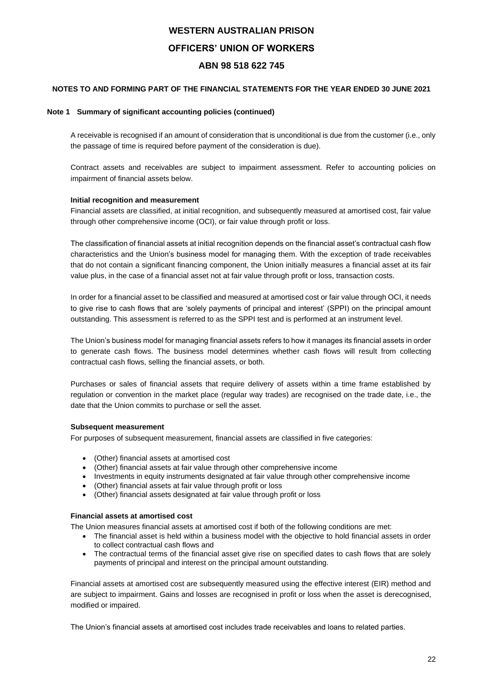## **NOTES TO AND FORMING PART OF THE FINANCIAL STATEMENTS FOR THE YEAR ENDED 30 JUNE 2021**

## **Note 1 Summary of significant accounting policies (continued)**

A receivable is recognised if an amount of consideration that is unconditional is due from the customer (i.e., only the passage of time is required before payment of the consideration is due).

Contract assets and receivables are subject to impairment assessment. Refer to accounting policies on impairment of financial assets below.

## **Initial recognition and measurement**

Financial assets are classified, at initial recognition, and subsequently measured at amortised cost, fair value through other comprehensive income (OCI), or fair value through profit or loss.

The classification of financial assets at initial recognition depends on the financial asset's contractual cash flow characteristics and the Union's business model for managing them. With the exception of trade receivables that do not contain a significant financing component, the Union initially measures a financial asset at its fair value plus, in the case of a financial asset not at fair value through profit or loss, transaction costs.

In order for a financial asset to be classified and measured at amortised cost or fair value through OCI, it needs to give rise to cash flows that are 'solely payments of principal and interest' (SPPI) on the principal amount outstanding. This assessment is referred to as the SPPI test and is performed at an instrument level.

The Union's business model for managing financial assets refers to how it manages its financial assets in order to generate cash flows. The business model determines whether cash flows will result from collecting contractual cash flows, selling the financial assets, or both.

Purchases or sales of financial assets that require delivery of assets within a time frame established by regulation or convention in the market place (regular way trades) are recognised on the trade date, i.e., the date that the Union commits to purchase or sell the asset.

### **Subsequent measurement**

For purposes of subsequent measurement, financial assets are classified in five categories:

- (Other) financial assets at amortised cost
- (Other) financial assets at fair value through other comprehensive income
- Investments in equity instruments designated at fair value through other comprehensive income
- (Other) financial assets at fair value through profit or loss
- (Other) financial assets designated at fair value through profit or loss

### **Financial assets at amortised cost**

The Union measures financial assets at amortised cost if both of the following conditions are met:

- The financial asset is held within a business model with the objective to hold financial assets in order to collect contractual cash flows and
- The contractual terms of the financial asset give rise on specified dates to cash flows that are solely payments of principal and interest on the principal amount outstanding.

Financial assets at amortised cost are subsequently measured using the effective interest (EIR) method and are subject to impairment. Gains and losses are recognised in profit or loss when the asset is derecognised, modified or impaired.

The Union's financial assets at amortised cost includes trade receivables and loans to related parties.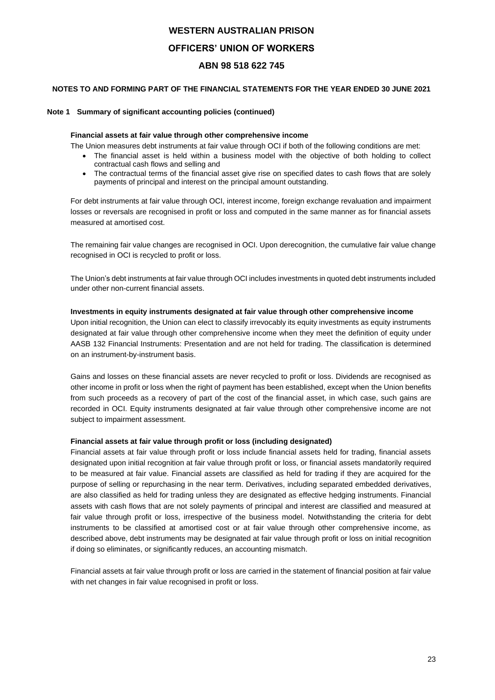## **NOTES TO AND FORMING PART OF THE FINANCIAL STATEMENTS FOR THE YEAR ENDED 30 JUNE 2021**

### **Note 1 Summary of significant accounting policies (continued)**

### **Financial assets at fair value through other comprehensive income**

The Union measures debt instruments at fair value through OCI if both of the following conditions are met:

- The financial asset is held within a business model with the objective of both holding to collect contractual cash flows and selling and
- The contractual terms of the financial asset give rise on specified dates to cash flows that are solely payments of principal and interest on the principal amount outstanding.

For debt instruments at fair value through OCI, interest income, foreign exchange revaluation and impairment losses or reversals are recognised in profit or loss and computed in the same manner as for financial assets measured at amortised cost.

The remaining fair value changes are recognised in OCI. Upon derecognition, the cumulative fair value change recognised in OCI is recycled to profit or loss.

The Union's debt instruments at fair value through OCI includes investments in quoted debt instruments included under other non-current financial assets.

## **Investments in equity instruments designated at fair value through other comprehensive income**

Upon initial recognition, the Union can elect to classify irrevocably its equity investments as equity instruments designated at fair value through other comprehensive income when they meet the definition of equity under AASB 132 Financial Instruments: Presentation and are not held for trading. The classification is determined on an instrument-by-instrument basis.

Gains and losses on these financial assets are never recycled to profit or loss. Dividends are recognised as other income in profit or loss when the right of payment has been established, except when the Union benefits from such proceeds as a recovery of part of the cost of the financial asset, in which case, such gains are recorded in OCI. Equity instruments designated at fair value through other comprehensive income are not subject to impairment assessment.

### **Financial assets at fair value through profit or loss (including designated)**

Financial assets at fair value through profit or loss include financial assets held for trading, financial assets designated upon initial recognition at fair value through profit or loss, or financial assets mandatorily required to be measured at fair value. Financial assets are classified as held for trading if they are acquired for the purpose of selling or repurchasing in the near term. Derivatives, including separated embedded derivatives, are also classified as held for trading unless they are designated as effective hedging instruments. Financial assets with cash flows that are not solely payments of principal and interest are classified and measured at fair value through profit or loss, irrespective of the business model. Notwithstanding the criteria for debt instruments to be classified at amortised cost or at fair value through other comprehensive income, as described above, debt instruments may be designated at fair value through profit or loss on initial recognition if doing so eliminates, or significantly reduces, an accounting mismatch.

Financial assets at fair value through profit or loss are carried in the statement of financial position at fair value with net changes in fair value recognised in profit or loss.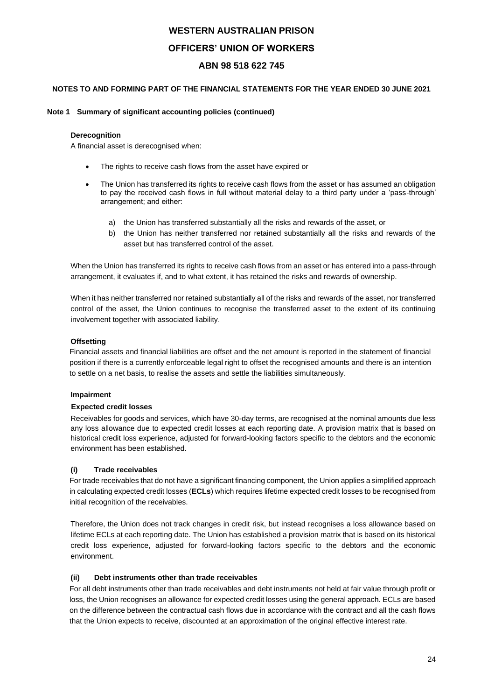## **NOTES TO AND FORMING PART OF THE FINANCIAL STATEMENTS FOR THE YEAR ENDED 30 JUNE 2021**

## **Note 1 Summary of significant accounting policies (continued)**

### **Derecognition**

A financial asset is derecognised when:

- The rights to receive cash flows from the asset have expired or
- The Union has transferred its rights to receive cash flows from the asset or has assumed an obligation to pay the received cash flows in full without material delay to a third party under a 'pass-through' arrangement; and either:
	- a) the Union has transferred substantially all the risks and rewards of the asset, or
	- b) the Union has neither transferred nor retained substantially all the risks and rewards of the asset but has transferred control of the asset.

When the Union has transferred its rights to receive cash flows from an asset or has entered into a pass-through arrangement, it evaluates if, and to what extent, it has retained the risks and rewards of ownership.

When it has neither transferred nor retained substantially all of the risks and rewards of the asset, nor transferred control of the asset, the Union continues to recognise the transferred asset to the extent of its continuing involvement together with associated liability.

## **Offsetting**

Financial assets and financial liabilities are offset and the net amount is reported in the statement of financial position if there is a currently enforceable legal right to offset the recognised amounts and there is an intention to settle on a net basis, to realise the assets and settle the liabilities simultaneously.

## **Impairment**

## **Expected credit losses**

Receivables for goods and services, which have 30-day terms, are recognised at the nominal amounts due less any loss allowance due to expected credit losses at each reporting date. A provision matrix that is based on historical credit loss experience, adjusted for forward-looking factors specific to the debtors and the economic environment has been established.

## **(i) Trade receivables**

For trade receivables that do not have a significant financing component, the Union applies a simplified approach in calculating expected credit losses (**ECLs**) which requires lifetime expected credit losses to be recognised from initial recognition of the receivables.

Therefore, the Union does not track changes in credit risk, but instead recognises a loss allowance based on lifetime ECLs at each reporting date. The Union has established a provision matrix that is based on its historical credit loss experience, adjusted for forward-looking factors specific to the debtors and the economic environment.

## **(ii) Debt instruments other than trade receivables**

For all debt instruments other than trade receivables and debt instruments not held at fair value through profit or loss, the Union recognises an allowance for expected credit losses using the general approach. ECLs are based on the difference between the contractual cash flows due in accordance with the contract and all the cash flows that the Union expects to receive, discounted at an approximation of the original effective interest rate.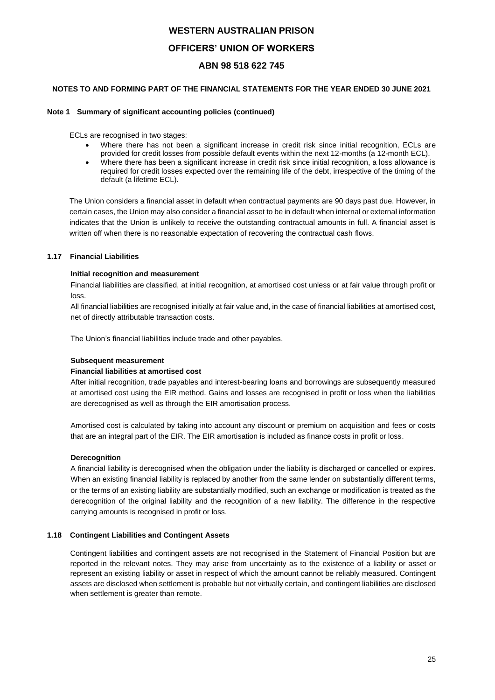## **NOTES TO AND FORMING PART OF THE FINANCIAL STATEMENTS FOR THE YEAR ENDED 30 JUNE 2021**

### **Note 1 Summary of significant accounting policies (continued)**

ECLs are recognised in two stages:

- Where there has not been a significant increase in credit risk since initial recognition. ECLs are provided for credit losses from possible default events within the next 12-months (a 12-month ECL).
- Where there has been a significant increase in credit risk since initial recognition, a loss allowance is required for credit losses expected over the remaining life of the debt, irrespective of the timing of the default (a lifetime ECL).

The Union considers a financial asset in default when contractual payments are 90 days past due. However, in certain cases, the Union may also consider a financial asset to be in default when internal or external information indicates that the Union is unlikely to receive the outstanding contractual amounts in full. A financial asset is written off when there is no reasonable expectation of recovering the contractual cash flows.

## **1.17 Financial Liabilities**

## **Initial recognition and measurement**

Financial liabilities are classified, at initial recognition, at amortised cost unless or at fair value through profit or loss.

All financial liabilities are recognised initially at fair value and, in the case of financial liabilities at amortised cost, net of directly attributable transaction costs.

The Union's financial liabilities include trade and other payables.

### **Subsequent measurement**

### **Financial liabilities at amortised cost**

After initial recognition, trade payables and interest-bearing loans and borrowings are subsequently measured at amortised cost using the EIR method. Gains and losses are recognised in profit or loss when the liabilities are derecognised as well as through the EIR amortisation process.

Amortised cost is calculated by taking into account any discount or premium on acquisition and fees or costs that are an integral part of the EIR. The EIR amortisation is included as finance costs in profit or loss.

## **Derecognition**

A financial liability is derecognised when the obligation under the liability is discharged or cancelled or expires. When an existing financial liability is replaced by another from the same lender on substantially different terms, or the terms of an existing liability are substantially modified, such an exchange or modification is treated as the derecognition of the original liability and the recognition of a new liability. The difference in the respective carrying amounts is recognised in profit or loss.

## **1.18 Contingent Liabilities and Contingent Assets**

Contingent liabilities and contingent assets are not recognised in the Statement of Financial Position but are reported in the relevant notes. They may arise from uncertainty as to the existence of a liability or asset or represent an existing liability or asset in respect of which the amount cannot be reliably measured. Contingent assets are disclosed when settlement is probable but not virtually certain, and contingent liabilities are disclosed when settlement is greater than remote.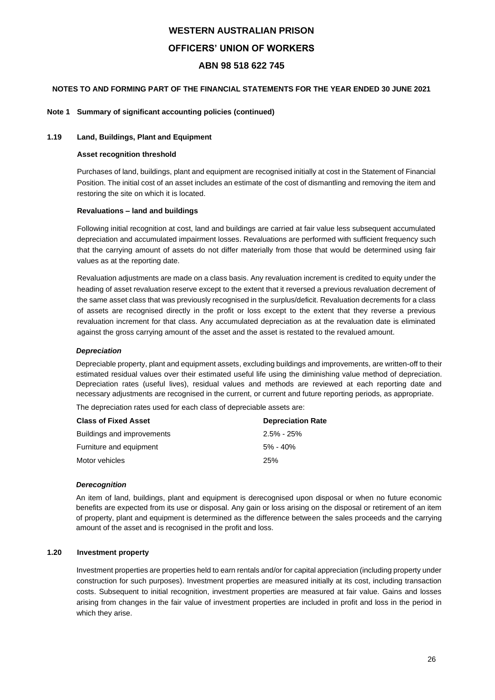## **NOTES TO AND FORMING PART OF THE FINANCIAL STATEMENTS FOR THE YEAR ENDED 30 JUNE 2021**

### **Note 1 Summary of significant accounting policies (continued)**

### **1.19 Land, Buildings, Plant and Equipment**

#### **Asset recognition threshold**

Purchases of land, buildings, plant and equipment are recognised initially at cost in the Statement of Financial Position. The initial cost of an asset includes an estimate of the cost of dismantling and removing the item and restoring the site on which it is located.

### **Revaluations – land and buildings**

Following initial recognition at cost, land and buildings are carried at fair value less subsequent accumulated depreciation and accumulated impairment losses. Revaluations are performed with sufficient frequency such that the carrying amount of assets do not differ materially from those that would be determined using fair values as at the reporting date.

Revaluation adjustments are made on a class basis. Any revaluation increment is credited to equity under the heading of asset revaluation reserve except to the extent that it reversed a previous revaluation decrement of the same asset class that was previously recognised in the surplus/deficit. Revaluation decrements for a class of assets are recognised directly in the profit or loss except to the extent that they reverse a previous revaluation increment for that class. Any accumulated depreciation as at the revaluation date is eliminated against the gross carrying amount of the asset and the asset is restated to the revalued amount.

### *Depreciation*

Depreciable property, plant and equipment assets, excluding buildings and improvements, are written-off to their estimated residual values over their estimated useful life using the diminishing value method of depreciation. Depreciation rates (useful lives), residual values and methods are reviewed at each reporting date and necessary adjustments are recognised in the current, or current and future reporting periods, as appropriate.

The depreciation rates used for each class of depreciable assets are:

| <b>Class of Fixed Asset</b> | <b>Depreciation Rate</b> |
|-----------------------------|--------------------------|
| Buildings and improvements  | $2.5\% - 25\%$           |
| Furniture and equipment     | $5\%$ - 40%              |
| Motor vehicles              | 25%                      |

#### *Derecognition*

An item of land, buildings, plant and equipment is derecognised upon disposal or when no future economic benefits are expected from its use or disposal. Any gain or loss arising on the disposal or retirement of an item of property, plant and equipment is determined as the difference between the sales proceeds and the carrying amount of the asset and is recognised in the profit and loss.

#### **1.20 Investment property**

Investment properties are properties held to earn rentals and/or for capital appreciation (including property under construction for such purposes). Investment properties are measured initially at its cost, including transaction costs. Subsequent to initial recognition, investment properties are measured at fair value. Gains and losses arising from changes in the fair value of investment properties are included in profit and loss in the period in which they arise.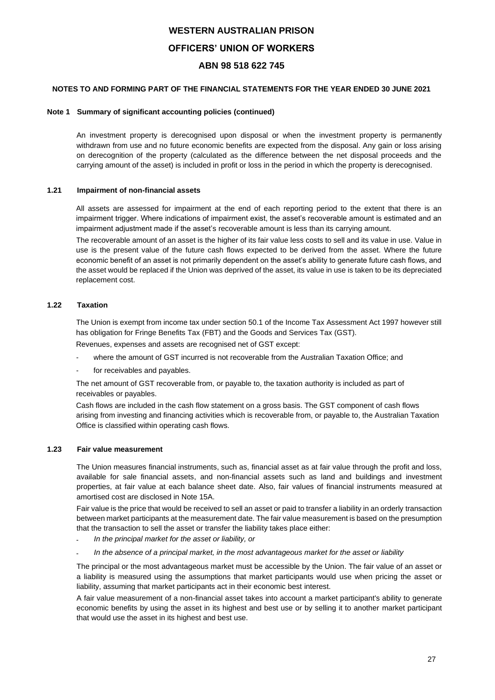## **NOTES TO AND FORMING PART OF THE FINANCIAL STATEMENTS FOR THE YEAR ENDED 30 JUNE 2021**

### **Note 1 Summary of significant accounting policies (continued)**

An investment property is derecognised upon disposal or when the investment property is permanently withdrawn from use and no future economic benefits are expected from the disposal. Any gain or loss arising on derecognition of the property (calculated as the difference between the net disposal proceeds and the carrying amount of the asset) is included in profit or loss in the period in which the property is derecognised.

## **1.21 Impairment of non-financial assets**

All assets are assessed for impairment at the end of each reporting period to the extent that there is an impairment trigger. Where indications of impairment exist, the asset's recoverable amount is estimated and an impairment adjustment made if the asset's recoverable amount is less than its carrying amount.

The recoverable amount of an asset is the higher of its fair value less costs to sell and its value in use. Value in use is the present value of the future cash flows expected to be derived from the asset. Where the future economic benefit of an asset is not primarily dependent on the asset's ability to generate future cash flows, and the asset would be replaced if the Union was deprived of the asset, its value in use is taken to be its depreciated replacement cost.

## **1.22 Taxation**

The Union is exempt from income tax under section 50.1 of the Income Tax Assessment Act 1997 however still has obligation for Fringe Benefits Tax (FBT) and the Goods and Services Tax (GST). Revenues, expenses and assets are recognised net of GST except:

- where the amount of GST incurred is not recoverable from the Australian Taxation Office; and
- for receivables and payables.

The net amount of GST recoverable from, or payable to, the taxation authority is included as part of receivables or payables.

Cash flows are included in the cash flow statement on a gross basis. The GST component of cash flows arising from investing and financing activities which is recoverable from, or payable to, the Australian Taxation Office is classified within operating cash flows.

### **1.23 Fair value measurement**

The Union measures financial instruments, such as, financial asset as at fair value through the profit and loss, available for sale financial assets, and non-financial assets such as land and buildings and investment properties, at fair value at each balance sheet date. Also, fair values of financial instruments measured at amortised cost are disclosed in Note 15A.

Fair value is the price that would be received to sell an asset or paid to transfer a liability in an orderly transaction between market participants at the measurement date. The fair value measurement is based on the presumption that the transaction to sell the asset or transfer the liability takes place either:

- *In the principal market for the asset or liability, or*
- *In the absence of a principal market, in the most advantageous market for the asset or liability*

The principal or the most advantageous market must be accessible by the Union. The fair value of an asset or a liability is measured using the assumptions that market participants would use when pricing the asset or liability, assuming that market participants act in their economic best interest.

A fair value measurement of a non-financial asset takes into account a market participant's ability to generate economic benefits by using the asset in its highest and best use or by selling it to another market participant that would use the asset in its highest and best use.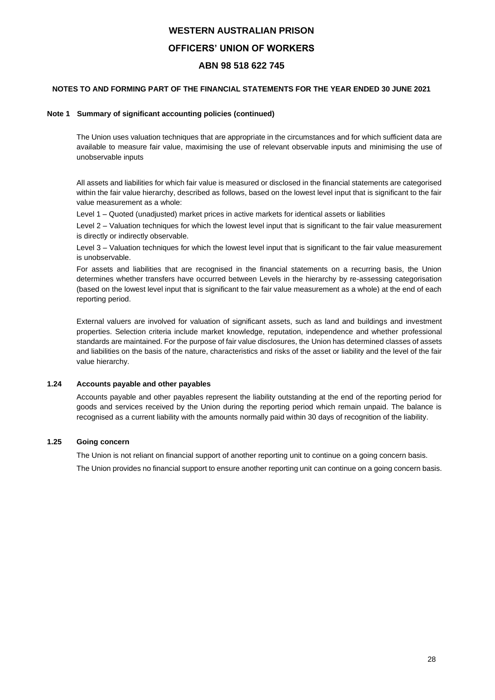## **NOTES TO AND FORMING PART OF THE FINANCIAL STATEMENTS FOR THE YEAR ENDED 30 JUNE 2021**

## **Note 1 Summary of significant accounting policies (continued)**

The Union uses valuation techniques that are appropriate in the circumstances and for which sufficient data are available to measure fair value, maximising the use of relevant observable inputs and minimising the use of unobservable inputs

All assets and liabilities for which fair value is measured or disclosed in the financial statements are categorised within the fair value hierarchy, described as follows, based on the lowest level input that is significant to the fair value measurement as a whole:

Level 1 – Quoted (unadjusted) market prices in active markets for identical assets or liabilities

Level 2 – Valuation techniques for which the lowest level input that is significant to the fair value measurement is directly or indirectly observable.

Level 3 – Valuation techniques for which the lowest level input that is significant to the fair value measurement is unobservable.

For assets and liabilities that are recognised in the financial statements on a recurring basis, the Union determines whether transfers have occurred between Levels in the hierarchy by re-assessing categorisation (based on the lowest level input that is significant to the fair value measurement as a whole) at the end of each reporting period.

External valuers are involved for valuation of significant assets, such as land and buildings and investment properties. Selection criteria include market knowledge, reputation, independence and whether professional standards are maintained. For the purpose of fair value disclosures, the Union has determined classes of assets and liabilities on the basis of the nature, characteristics and risks of the asset or liability and the level of the fair value hierarchy.

## **1.24 Accounts payable and other payables**

Accounts payable and other payables represent the liability outstanding at the end of the reporting period for goods and services received by the Union during the reporting period which remain unpaid. The balance is recognised as a current liability with the amounts normally paid within 30 days of recognition of the liability.

## **1.25 Going concern**

The Union is not reliant on financial support of another reporting unit to continue on a going concern basis.

The Union provides no financial support to ensure another reporting unit can continue on a going concern basis.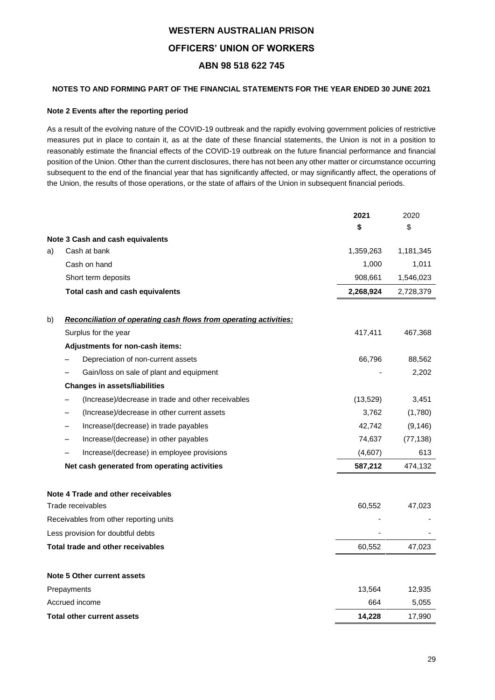## **NOTES TO AND FORMING PART OF THE FINANCIAL STATEMENTS FOR THE YEAR ENDED 30 JUNE 2021**

## **Note 2 Events after the reporting period**

As a result of the evolving nature of the COVID-19 outbreak and the rapidly evolving government policies of restrictive measures put in place to contain it, as at the date of these financial statements, the Union is not in a position to reasonably estimate the financial effects of the COVID-19 outbreak on the future financial performance and financial position of the Union. Other than the current disclosures, there has not been any other matter or circumstance occurring subsequent to the end of the financial year that has significantly affected, or may significantly affect, the operations of the Union, the results of those operations, or the state of affairs of the Union in subsequent financial periods.

|    |                                                                   | 2021      | 2020      |
|----|-------------------------------------------------------------------|-----------|-----------|
|    |                                                                   | \$        | \$        |
|    | Note 3 Cash and cash equivalents                                  |           |           |
| a) | Cash at bank                                                      | 1,359,263 | 1,181,345 |
|    | Cash on hand                                                      | 1,000     | 1,011     |
|    | Short term deposits                                               | 908,661   | 1,546,023 |
|    | Total cash and cash equivalents                                   | 2,268,924 | 2,728,379 |
| b) | Reconciliation of operating cash flows from operating activities: |           |           |
|    | Surplus for the year                                              | 417,411   | 467,368   |
|    | Adjustments for non-cash items:                                   |           |           |
|    | Depreciation of non-current assets                                | 66,796    | 88,562    |
|    | Gain/loss on sale of plant and equipment                          |           | 2,202     |
|    | <b>Changes in assets/liabilities</b>                              |           |           |
|    | (Increase)/decrease in trade and other receivables                | (13,529)  | 3,451     |
|    | (Increase)/decrease in other current assets                       | 3,762     | (1,780)   |
|    | Increase/(decrease) in trade payables                             | 42,742    | (9, 146)  |
|    | Increase/(decrease) in other payables                             | 74,637    | (77, 138) |
|    | Increase/(decrease) in employee provisions                        | (4,607)   | 613       |
|    | Net cash generated from operating activities                      | 587,212   | 474,132   |
|    | Note 4 Trade and other receivables                                |           |           |
|    | Trade receivables                                                 | 60,552    | 47,023    |
|    | Receivables from other reporting units                            |           |           |
|    | Less provision for doubtful debts                                 |           |           |
|    | Total trade and other receivables                                 | 60,552    | 47,023    |
|    | Note 5 Other current assets                                       |           |           |
|    | Prepayments                                                       | 13,564    | 12,935    |
|    | Accrued income                                                    | 664       | 5,055     |
|    | <b>Total other current assets</b>                                 | 14,228    | 17,990    |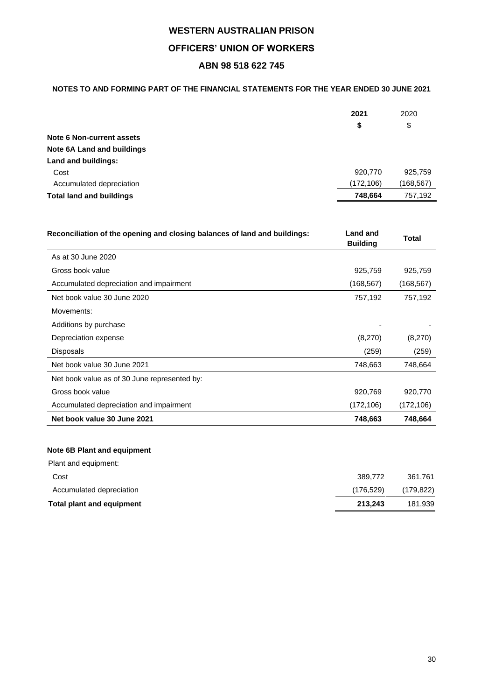## **NOTES TO AND FORMING PART OF THE FINANCIAL STATEMENTS FOR THE YEAR ENDED 30 JUNE 2021**

| \$<br>\$                                              |  |
|-------------------------------------------------------|--|
|                                                       |  |
| Note 6 Non-current assets                             |  |
| <b>Note 6A Land and buildings</b>                     |  |
| Land and buildings:                                   |  |
| 920.770<br>925,759<br>Cost                            |  |
| (172, 106)<br>(168,567)<br>Accumulated depreciation   |  |
| 757,192<br>748,664<br><b>Total land and buildings</b> |  |

| Reconciliation of the opening and closing balances of land and buildings: | <b>Land and</b><br><b>Building</b> | <b>Total</b> |
|---------------------------------------------------------------------------|------------------------------------|--------------|
| As at 30 June 2020                                                        |                                    |              |
| Gross book value                                                          | 925,759                            | 925,759      |
| Accumulated depreciation and impairment                                   | (168, 567)                         | (168, 567)   |
| Net book value 30 June 2020                                               | 757,192                            | 757,192      |
| Movements:                                                                |                                    |              |
| Additions by purchase                                                     |                                    |              |
| Depreciation expense                                                      | (8,270)                            | (8,270)      |
| <b>Disposals</b>                                                          | (259)                              | (259)        |
| Net book value 30 June 2021                                               | 748,663                            | 748,664      |
| Net book value as of 30 June represented by:                              |                                    |              |
| Gross book value                                                          | 920,769                            | 920,770      |
| Accumulated depreciation and impairment                                   | (172, 106)                         | (172, 106)   |
| Net book value 30 June 2021                                               | 748,663                            | 748,664      |

## **Note 6B Plant and equipment**

| Total plant and equipment | 213.243   | 181,939    |
|---------------------------|-----------|------------|
| Accumulated depreciation  | (176.529) | (179, 822) |
| Cost                      | 389,772   | 361.761    |
| Plant and equipment:      |           |            |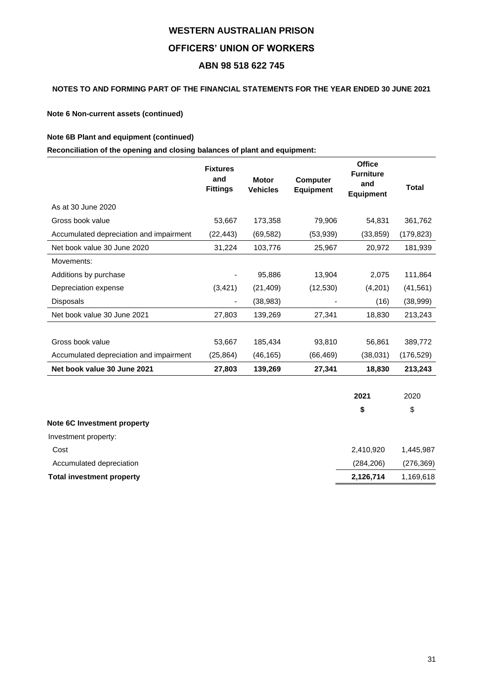## **NOTES TO AND FORMING PART OF THE FINANCIAL STATEMENTS FOR THE YEAR ENDED 30 JUNE 2021**

**Note 6 Non-current assets (continued)**

## **Note 6B Plant and equipment (continued)**

**Reconciliation of the opening and closing balances of plant and equipment:**

|                                         | <b>Fixtures</b><br>and<br><b>Fittings</b> | <b>Motor</b><br><b>Vehicles</b> | <b>Computer</b><br><b>Equipment</b> | <b>Office</b><br><b>Furniture</b><br>and<br><b>Equipment</b> | Total      |
|-----------------------------------------|-------------------------------------------|---------------------------------|-------------------------------------|--------------------------------------------------------------|------------|
| As at 30 June 2020                      |                                           |                                 |                                     |                                                              |            |
| Gross book value                        | 53,667                                    | 173,358                         | 79,906                              | 54,831                                                       | 361,762    |
| Accumulated depreciation and impairment | (22, 443)                                 | (69, 582)                       | (53, 939)                           | (33, 859)                                                    | (179, 823) |
| Net book value 30 June 2020             | 31,224                                    | 103,776                         | 25,967                              | 20,972                                                       | 181,939    |
| Movements:                              |                                           |                                 |                                     |                                                              |            |
| Additions by purchase                   |                                           | 95,886                          | 13,904                              | 2,075                                                        | 111,864    |
| Depreciation expense                    | (3, 421)                                  | (21, 409)                       | (12, 530)                           | (4,201)                                                      | (41, 561)  |
| Disposals                               | -                                         | (38, 983)                       |                                     | (16)                                                         | (38,999)   |
| Net book value 30 June 2021             | 27,803                                    | 139,269                         | 27,341                              | 18,830                                                       | 213,243    |
|                                         |                                           |                                 |                                     |                                                              |            |
| Gross book value                        | 53,667                                    | 185,434                         | 93,810                              | 56,861                                                       | 389,772    |
| Accumulated depreciation and impairment | (25, 864)                                 | (46, 165)                       | (66, 469)                           | (38,031)                                                     | (176,529)  |
| Net book value 30 June 2021             | 27,803                                    | 139,269                         | 27,341                              | 18,830                                                       | 213,243    |
|                                         |                                           |                                 |                                     | 2021                                                         | 2020       |

|                                  | S          | \$         |
|----------------------------------|------------|------------|
| Note 6C Investment property      |            |            |
| Investment property:             |            |            |
| Cost                             | 2,410,920  | 1.445.987  |
| Accumulated depreciation         | (284, 206) | (276, 369) |
| <b>Total investment property</b> | 2,126,714  | 1,169,618  |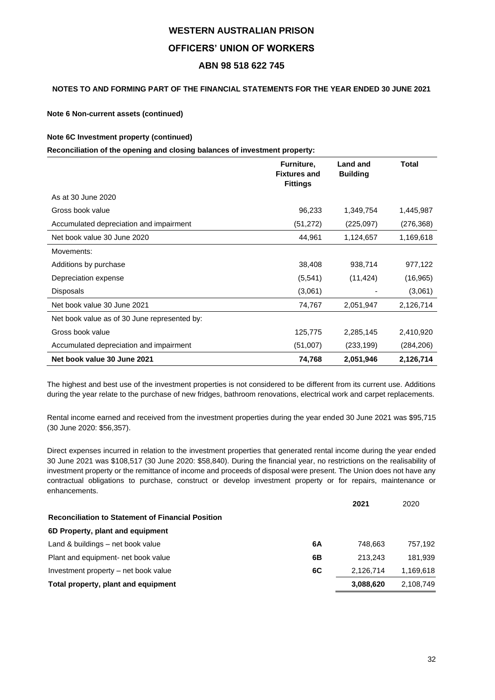## **NOTES TO AND FORMING PART OF THE FINANCIAL STATEMENTS FOR THE YEAR ENDED 30 JUNE 2021**

**Note 6 Non-current assets (continued)**

## **Note 6C Investment property (continued)**

**Reconciliation of the opening and closing balances of investment property:**

|                                              | Furniture,<br><b>Fixtures and</b><br><b>Fittings</b> | <b>Land and</b><br><b>Building</b> | Total      |
|----------------------------------------------|------------------------------------------------------|------------------------------------|------------|
| As at 30 June 2020                           |                                                      |                                    |            |
| Gross book value                             | 96,233                                               | 1,349,754                          | 1,445,987  |
| Accumulated depreciation and impairment      | (51, 272)                                            | (225,097)                          | (276, 368) |
| Net book value 30 June 2020                  | 44,961                                               | 1,124,657                          | 1,169,618  |
| Movements:                                   |                                                      |                                    |            |
| Additions by purchase                        | 38,408                                               | 938,714                            | 977,122    |
| Depreciation expense                         | (5, 541)                                             | (11, 424)                          | (16, 965)  |
| <b>Disposals</b>                             | (3,061)                                              |                                    | (3,061)    |
| Net book value 30 June 2021                  | 74,767                                               | 2,051,947                          | 2,126,714  |
| Net book value as of 30 June represented by: |                                                      |                                    |            |
| Gross book value                             | 125,775                                              | 2,285,145                          | 2,410,920  |
| Accumulated depreciation and impairment      | (51,007)                                             | (233, 199)                         | (284, 206) |
| Net book value 30 June 2021                  | 74,768                                               | 2,051,946                          | 2,126,714  |

The highest and best use of the investment properties is not considered to be different from its current use. Additions during the year relate to the purchase of new fridges, bathroom renovations, electrical work and carpet replacements.

Rental income earned and received from the investment properties during the year ended 30 June 2021 was \$95,715 (30 June 2020: \$56,357).

Direct expenses incurred in relation to the investment properties that generated rental income during the year ended 30 June 2021 was \$108,517 (30 June 2020: \$58,840). During the financial year, no restrictions on the realisability of investment property or the remittance of income and proceeds of disposal were present. The Union does not have any contractual obligations to purchase, construct or develop investment property or for repairs, maintenance or enhancements.

|    | 2021      | 2020      |
|----|-----------|-----------|
|    |           |           |
|    |           |           |
| 6A | 748.663   | 757.192   |
| 6Β | 213.243   | 181.939   |
| 6C | 2.126.714 | 1.169.618 |
|    | 3,088,620 | 2.108.749 |
|    |           |           |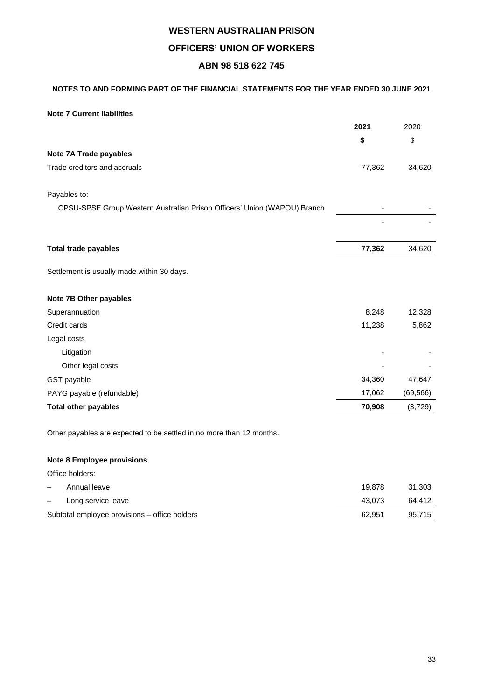## **NOTES TO AND FORMING PART OF THE FINANCIAL STATEMENTS FOR THE YEAR ENDED 30 JUNE 2021**

## **Note 7 Current liabilities**

|                                                                          | 2021   | 2020      |
|--------------------------------------------------------------------------|--------|-----------|
|                                                                          | \$     | \$        |
| Note 7A Trade payables                                                   |        |           |
| Trade creditors and accruals                                             | 77,362 | 34,620    |
| Payables to:                                                             |        |           |
| CPSU-SPSF Group Western Australian Prison Officers' Union (WAPOU) Branch |        |           |
|                                                                          |        |           |
| <b>Total trade payables</b>                                              | 77,362 | 34,620    |
| Settlement is usually made within 30 days.                               |        |           |
| Note 7B Other payables                                                   |        |           |
| Superannuation                                                           | 8,248  | 12,328    |
| Credit cards                                                             | 11,238 | 5,862     |
| Legal costs                                                              |        |           |
| Litigation                                                               |        |           |
| Other legal costs                                                        |        |           |
| GST payable                                                              | 34,360 | 47,647    |
| PAYG payable (refundable)                                                | 17,062 | (69, 566) |
| <b>Total other payables</b>                                              | 70,908 | (3,729)   |
| Other payables are expected to be settled in no more than 12 months.     |        |           |

**Note 8 Employee provisions**

Office holders:

| Annual leave       |                                               | 19.878 | 31.303 |
|--------------------|-----------------------------------------------|--------|--------|
| Long service leave |                                               | 43.073 | 64.412 |
|                    | Subtotal employee provisions – office holders | 62.951 | 95.715 |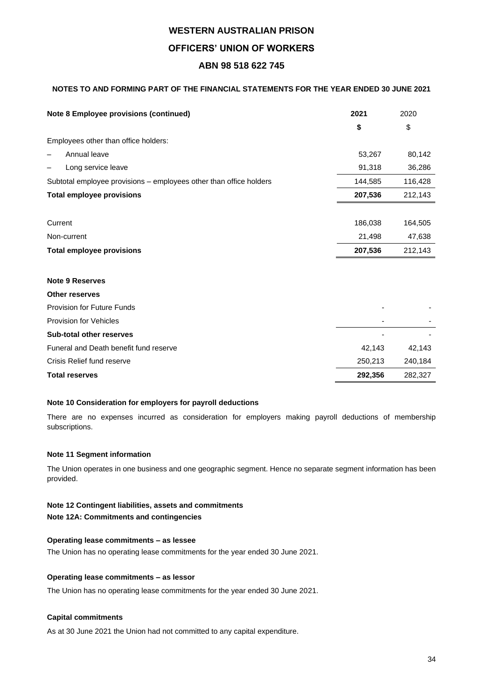## **NOTES TO AND FORMING PART OF THE FINANCIAL STATEMENTS FOR THE YEAR ENDED 30 JUNE 2021**

| <b>Note 8 Employee provisions (continued)</b>                      | 2021    | 2020    |
|--------------------------------------------------------------------|---------|---------|
|                                                                    | \$      | \$      |
| Employees other than office holders:                               |         |         |
| Annual leave                                                       | 53,267  | 80,142  |
| Long service leave                                                 | 91,318  | 36,286  |
| Subtotal employee provisions – employees other than office holders | 144,585 | 116,428 |
| <b>Total employee provisions</b>                                   | 207,536 | 212,143 |
|                                                                    |         |         |
| Current                                                            | 186,038 | 164,505 |
| Non-current                                                        | 21,498  | 47,638  |
| <b>Total employee provisions</b>                                   | 207,536 | 212,143 |
| <b>Note 9 Reserves</b>                                             |         |         |
| <b>Other reserves</b>                                              |         |         |
| Provision for Future Funds                                         |         |         |
| Provision for Vehicles                                             |         |         |
| <b>Sub-total other reserves</b>                                    |         |         |
| Funeral and Death benefit fund reserve                             | 42,143  | 42,143  |
| Crisis Relief fund reserve                                         | 250,213 | 240,184 |
| <b>Total reserves</b>                                              | 292,356 | 282,327 |

## **Note 10 Consideration for employers for payroll deductions**

There are no expenses incurred as consideration for employers making payroll deductions of membership subscriptions.

## **Note 11 Segment information**

The Union operates in one business and one geographic segment. Hence no separate segment information has been provided.

## **Note 12 Contingent liabilities, assets and commitments**

**Note 12A: Commitments and contingencies**

## **Operating lease commitments – as lessee**

The Union has no operating lease commitments for the year ended 30 June 2021.

## **Operating lease commitments – as lessor**

The Union has no operating lease commitments for the year ended 30 June 2021.

## **Capital commitments**

As at 30 June 2021 the Union had not committed to any capital expenditure.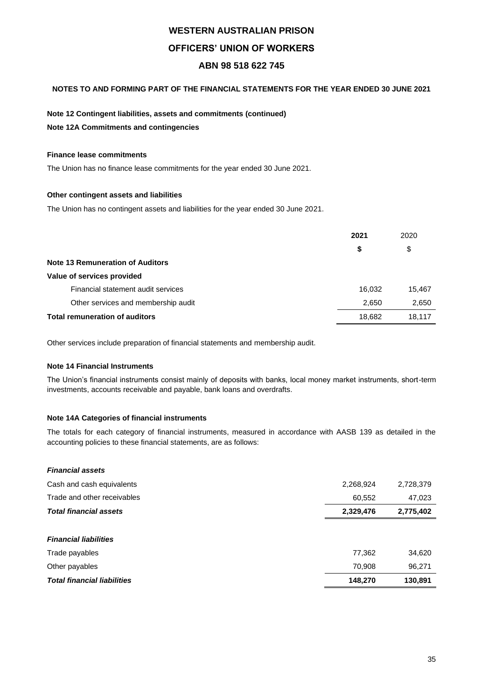## **NOTES TO AND FORMING PART OF THE FINANCIAL STATEMENTS FOR THE YEAR ENDED 30 JUNE 2021**

## **Note 12 Contingent liabilities, assets and commitments (continued)**

**Note 12A Commitments and contingencies**

## **Finance lease commitments**

The Union has no finance lease commitments for the year ended 30 June 2021.

## **Other contingent assets and liabilities**

The Union has no contingent assets and liabilities for the year ended 30 June 2021.

|                                         | 2021   | 2020   |
|-----------------------------------------|--------|--------|
|                                         | \$     | \$     |
| <b>Note 13 Remuneration of Auditors</b> |        |        |
| Value of services provided              |        |        |
| Financial statement audit services      | 16,032 | 15,467 |
| Other services and membership audit     | 2,650  | 2,650  |
| <b>Total remuneration of auditors</b>   | 18,682 | 18,117 |

Other services include preparation of financial statements and membership audit.

### **Note 14 Financial Instruments**

The Union's financial instruments consist mainly of deposits with banks, local money market instruments, short-term investments, accounts receivable and payable, bank loans and overdrafts.

## **Note 14A Categories of financial instruments**

The totals for each category of financial instruments, measured in accordance with AASB 139 as detailed in the accounting policies to these financial statements, are as follows:

| <b>Financial assets</b>            |           |           |
|------------------------------------|-----------|-----------|
| Cash and cash equivalents          | 2,268,924 | 2,728,379 |
| Trade and other receivables        | 60,552    | 47,023    |
| <b>Total financial assets</b>      | 2,329,476 | 2,775,402 |
|                                    |           |           |
| <b>Financial liabilities</b>       |           |           |
| Trade payables                     | 77,362    | 34,620    |
| Other payables                     | 70,908    | 96,271    |
| <b>Total financial liabilities</b> | 148,270   | 130,891   |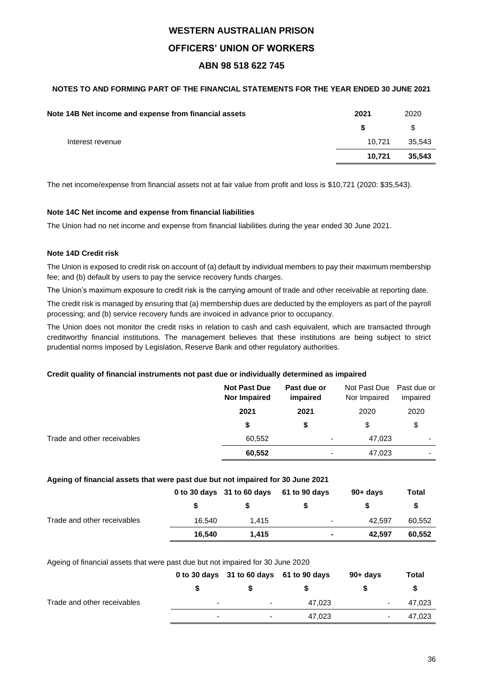## **NOTES TO AND FORMING PART OF THE FINANCIAL STATEMENTS FOR THE YEAR ENDED 30 JUNE 2021**

| Note 14B Net income and expense from financial assets | 2021   | 2020   |
|-------------------------------------------------------|--------|--------|
|                                                       | -S     | S      |
| Interest revenue                                      | 10.721 | 35.543 |
|                                                       | 10.721 | 35,543 |
|                                                       |        |        |

The net income/expense from financial assets not at fair value from profit and loss is \$10,721 (2020: \$35,543).

## **Note 14C Net income and expense from financial liabilities**

The Union had no net income and expense from financial liabilities during the year ended 30 June 2021.

## **Note 14D Credit risk**

The Union is exposed to credit risk on account of (a) default by individual members to pay their maximum membership fee; and (b) default by users to pay the service recovery funds charges.

The Union's maximum exposure to credit risk is the carrying amount of trade and other receivable at reporting date.

The credit risk is managed by ensuring that (a) membership dues are deducted by the employers as part of the payroll processing; and (b) service recovery funds are invoiced in advance prior to occupancy.

The Union does not monitor the credit risks in relation to cash and cash equivalent, which are transacted through creditworthy financial institutions. The management believes that these institutions are being subject to strict prudential norms imposed by Legislation, Reserve Bank and other regulatory authorities.

## **Credit quality of financial instruments not past due or individually determined as impaired**

|                             | <b>Not Past Due</b><br><b>Nor Impaired</b> | Past due or<br>impaired  | Not Past Due Past due or<br>Nor Impaired | impaired |
|-----------------------------|--------------------------------------------|--------------------------|------------------------------------------|----------|
|                             | 2021                                       | 2021                     | 2020                                     | 2020     |
|                             | \$                                         | \$                       | S                                        | \$       |
| Trade and other receivables | 60,552                                     | $\overline{\phantom{a}}$ | 47,023                                   | ۰        |
|                             | 60,552                                     | ٠                        | 47,023                                   | ۰        |

## **Ageing of financial assets that were past due but not impaired for 30 June 2021**

|                             |        | 0 to 30 days 31 to 60 days 61 to 90 days |                | $90 + days$ | Total  |
|-----------------------------|--------|------------------------------------------|----------------|-------------|--------|
|                             |        |                                          |                |             |        |
| Trade and other receivables | 16.540 | 1.415                                    | $\blacksquare$ | 42.597      | 60,552 |
|                             | 16.540 | 1.415                                    | $\blacksquare$ | 42.597      | 60,552 |

### Ageing of financial assets that were past due but not impaired for 30 June 2020

|                             |   | 0 to 30 days 31 to 60 days 61 to 90 days |        | $90+$ days | Total  |
|-----------------------------|---|------------------------------------------|--------|------------|--------|
|                             |   |                                          |        |            |        |
| Trade and other receivables | ۰ | ۰                                        | 47.023 | ٠          | 47,023 |
|                             | - | -                                        | 47.023 | ۰          | 47,023 |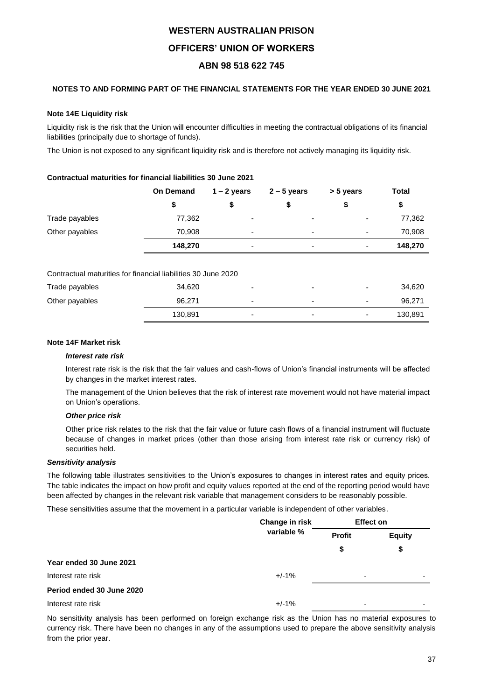## **NOTES TO AND FORMING PART OF THE FINANCIAL STATEMENTS FOR THE YEAR ENDED 30 JUNE 2021**

## **Note 14E Liquidity risk**

Liquidity risk is the risk that the Union will encounter difficulties in meeting the contractual obligations of its financial liabilities (principally due to shortage of funds).

The Union is not exposed to any significant liquidity risk and is therefore not actively managing its liquidity risk.

## **Contractual maturities for financial liabilities 30 June 2021**

|                                                               | <b>On Demand</b> | $1 - 2$ years | $2 - 5$ years | > 5 years | <b>Total</b> |
|---------------------------------------------------------------|------------------|---------------|---------------|-----------|--------------|
|                                                               | \$               | \$            |               | \$        | \$           |
| Trade payables                                                | 77,362           |               |               |           | 77,362       |
| Other payables                                                | 70,908           |               |               |           | 70,908       |
|                                                               | 148,270          | -             |               |           | 148,270      |
| Contractual maturities for financial liabilities 30 June 2020 |                  |               |               |           |              |
| Trade payables                                                | 34,620           |               |               |           | 34,620       |
| Other payables                                                | 96,271           |               |               |           | 96,271       |

## **Note 14F Market risk**

### *Interest rate risk*

Interest rate risk is the risk that the fair values and cash-flows of Union's financial instruments will be affected by changes in the market interest rates.

130,891 - - - 130,891

The management of the Union believes that the risk of interest rate movement would not have material impact on Union's operations.

## *Other price risk*

Other price risk relates to the risk that the fair value or future cash flows of a financial instrument will fluctuate because of changes in market prices (other than those arising from interest rate risk or currency risk) of securities held.

### *Sensitivity analysis*

The following table illustrates sensitivities to the Union's exposures to changes in interest rates and equity prices. The table indicates the impact on how profit and equity values reported at the end of the reporting period would have been affected by changes in the relevant risk variable that management considers to be reasonably possible.

These sensitivities assume that the movement in a particular variable is independent of other variables.

|                           | Change in risk | <b>Effect on</b>         |                          |  |
|---------------------------|----------------|--------------------------|--------------------------|--|
|                           | variable %     | <b>Profit</b>            | <b>Equity</b>            |  |
|                           |                | S                        | \$                       |  |
| Year ended 30 June 2021   |                |                          |                          |  |
| Interest rate risk        | $+/-1%$        | $\overline{\phantom{0}}$ | $\overline{\phantom{0}}$ |  |
| Period ended 30 June 2020 |                |                          |                          |  |
| Interest rate risk        | $+/-1%$        |                          | -                        |  |

No sensitivity analysis has been performed on foreign exchange risk as the Union has no material exposures to currency risk. There have been no changes in any of the assumptions used to prepare the above sensitivity analysis from the prior year.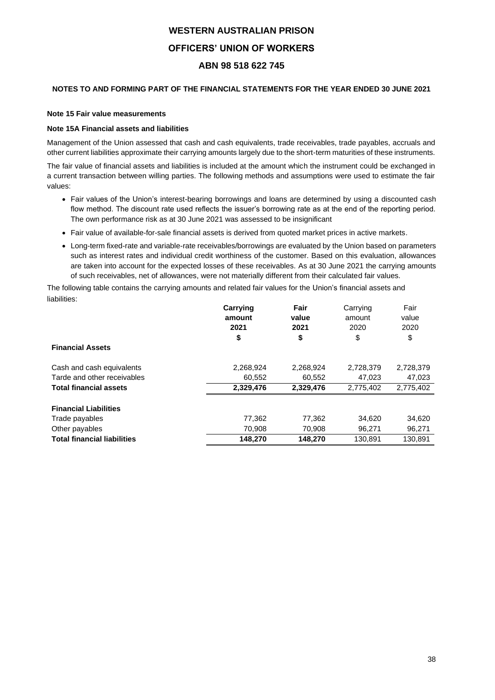## **NOTES TO AND FORMING PART OF THE FINANCIAL STATEMENTS FOR THE YEAR ENDED 30 JUNE 2021**

## **Note 15 Fair value measurements**

## **Note 15A Financial assets and liabilities**

Management of the Union assessed that cash and cash equivalents, trade receivables, trade payables, accruals and other current liabilities approximate their carrying amounts largely due to the short-term maturities of these instruments.

The fair value of financial assets and liabilities is included at the amount which the instrument could be exchanged in a current transaction between willing parties. The following methods and assumptions were used to estimate the fair values:

- Fair values of the Union's interest-bearing borrowings and loans are determined by using a discounted cash flow method. The discount rate used reflects the issuer's borrowing rate as at the end of the reporting period. The own performance risk as at 30 June 2021 was assessed to be insignificant
- Fair value of available-for-sale financial assets is derived from quoted market prices in active markets.
- Long-term fixed-rate and variable-rate receivables/borrowings are evaluated by the Union based on parameters such as interest rates and individual credit worthiness of the customer. Based on this evaluation, allowances are taken into account for the expected losses of these receivables. As at 30 June 2021 the carrying amounts of such receivables, net of allowances, were not materially different from their calculated fair values.

The following table contains the carrying amounts and related fair values for the Union's financial assets and liabilities:

|                                    | Carrying  | Fair      | Carrying  | Fair      |
|------------------------------------|-----------|-----------|-----------|-----------|
|                                    | amount    | value     | amount    | value     |
|                                    | 2021      | 2021      | 2020      | 2020      |
|                                    | \$        | \$        | \$        | \$        |
| <b>Financial Assets</b>            |           |           |           |           |
| Cash and cash equivalents          | 2,268,924 | 2,268,924 | 2,728,379 | 2,728,379 |
| Tarde and other receivables        | 60,552    | 60,552    | 47,023    | 47,023    |
| <b>Total financial assets</b>      | 2,329,476 | 2,329,476 | 2,775,402 | 2,775,402 |
| <b>Financial Liabilities</b>       |           |           |           |           |
| Trade payables                     | 77,362    | 77,362    | 34,620    | 34,620    |
| Other payables                     | 70,908    | 70,908    | 96,271    | 96,271    |
| <b>Total financial liabilities</b> | 148,270   | 148,270   | 130,891   | 130,891   |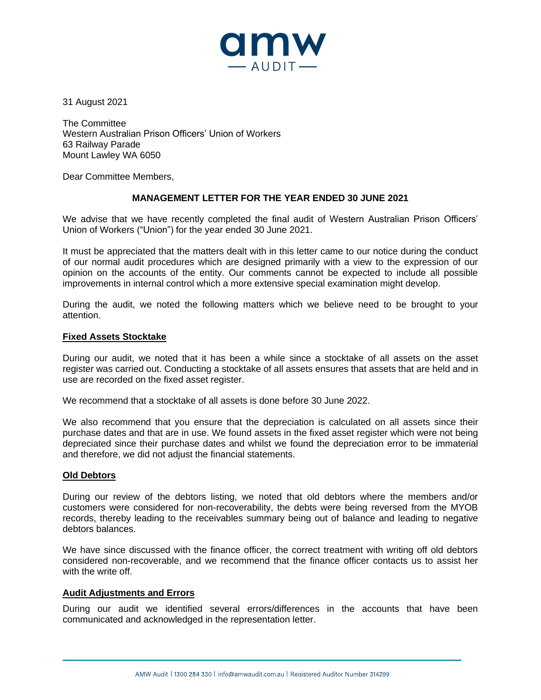

31 August 2021

The Committee Western Australian Prison Officers' Union of Workers 63 Railway Parade Mount Lawley WA 6050

Dear Committee Members,

## **MANAGEMENT LETTER FOR THE YEAR ENDED 30 JUNE 2021**

We advise that we have recently completed the final audit of Western Australian Prison Officers' Union of Workers ("Union") for the year ended 30 June 2021.

It must be appreciated that the matters dealt with in this letter came to our notice during the conduct of our normal audit procedures which are designed primarily with a view to the expression of our opinion on the accounts of the entity. Our comments cannot be expected to include all possible improvements in internal control which a more extensive special examination might develop.

During the audit, we noted the following matters which we believe need to be brought to your attention.

## **Fixed Assets Stocktake**

During our audit, we noted that it has been a while since a stocktake of all assets on the asset register was carried out. Conducting a stocktake of all assets ensures that assets that are held and in use are recorded on the fixed asset register.

We recommend that a stocktake of all assets is done before 30 June 2022.

We also recommend that you ensure that the depreciation is calculated on all assets since their purchase dates and that are in use. We found assets in the fixed asset register which were not being depreciated since their purchase dates and whilst we found the depreciation error to be immaterial and therefore, we did not adjust the financial statements.

## **Old Debtors**

During our review of the debtors listing, we noted that old debtors where the members and/or customers were considered for non-recoverability, the debts were being reversed from the MYOB records, thereby leading to the receivables summary being out of balance and leading to negative debtors balances.

We have since discussed with the finance officer, the correct treatment with writing off old debtors considered non-recoverable, and we recommend that the finance officer contacts us to assist her with the write off.

## **Audit Adjustments and Errors**

During our audit we identified several errors/differences in the accounts that have been communicated and acknowledged in the representation letter.